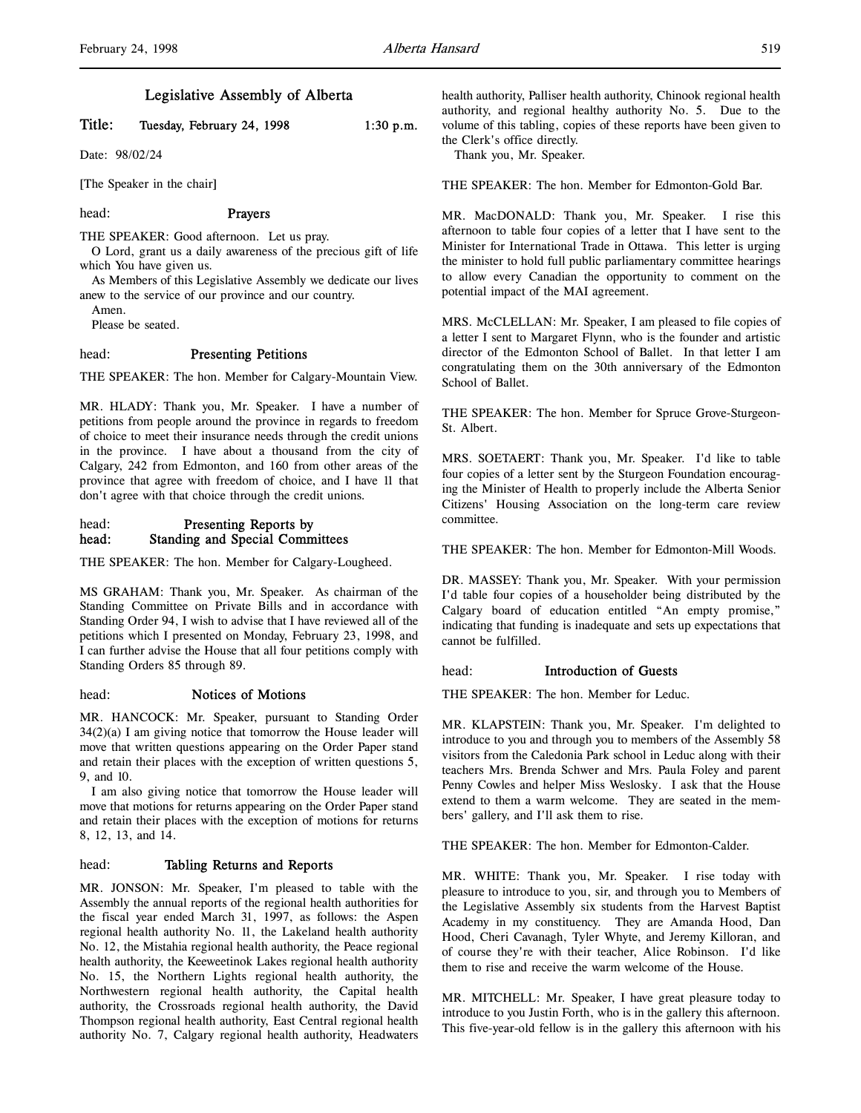# Legislative Assembly of Alberta

# Title: Tuesday, February 24, 1998 1:30 p.m.

Date: 98/02/24

[The Speaker in the chair]

#### head: Prayers

THE SPEAKER: Good afternoon. Let us pray.

O Lord, grant us a daily awareness of the precious gift of life which You have given us.

As Members of this Legislative Assembly we dedicate our lives anew to the service of our province and our country.

Amen.

Please be seated.

# head: Presenting Petitions

THE SPEAKER: The hon. Member for Calgary-Mountain View.

MR. HLADY: Thank you, Mr. Speaker. I have a number of petitions from people around the province in regards to freedom of choice to meet their insurance needs through the credit unions in the province. I have about a thousand from the city of Calgary, 242 from Edmonton, and 160 from other areas of the province that agree with freedom of choice, and I have 11 that don't agree with that choice through the credit unions.

# head: Presenting Reports by head: Standing and Special Committees

THE SPEAKER: The hon. Member for Calgary-Lougheed.

MS GRAHAM: Thank you, Mr. Speaker. As chairman of the Standing Committee on Private Bills and in accordance with Standing Order 94, I wish to advise that I have reviewed all of the petitions which I presented on Monday, February 23, 1998, and I can further advise the House that all four petitions comply with Standing Orders 85 through 89.

### head: Notices of Motions

MR. HANCOCK: Mr. Speaker, pursuant to Standing Order 34(2)(a) I am giving notice that tomorrow the House leader will move that written questions appearing on the Order Paper stand and retain their places with the exception of written questions 5, 9, and 10.

I am also giving notice that tomorrow the House leader will move that motions for returns appearing on the Order Paper stand and retain their places with the exception of motions for returns 8, 12, 13, and 14.

# head: Tabling Returns and Reports

MR. JONSON: Mr. Speaker, I'm pleased to table with the Assembly the annual reports of the regional health authorities for the fiscal year ended March 31, 1997, as follows: the Aspen regional health authority No. 11, the Lakeland health authority No. 12, the Mistahia regional health authority, the Peace regional health authority, the Keeweetinok Lakes regional health authority No. 15, the Northern Lights regional health authority, the Northwestern regional health authority, the Capital health authority, the Crossroads regional health authority, the David Thompson regional health authority, East Central regional health authority No. 7, Calgary regional health authority, Headwaters

health authority, Palliser health authority, Chinook regional health authority, and regional healthy authority No. 5. Due to the volume of this tabling, copies of these reports have been given to the Clerk's office directly.

Thank you, Mr. Speaker.

THE SPEAKER: The hon. Member for Edmonton-Gold Bar.

MR. MacDONALD: Thank you, Mr. Speaker. I rise this afternoon to table four copies of a letter that I have sent to the Minister for International Trade in Ottawa. This letter is urging the minister to hold full public parliamentary committee hearings to allow every Canadian the opportunity to comment on the potential impact of the MAI agreement.

MRS. McCLELLAN: Mr. Speaker, I am pleased to file copies of a letter I sent to Margaret Flynn, who is the founder and artistic director of the Edmonton School of Ballet. In that letter I am congratulating them on the 30th anniversary of the Edmonton School of Ballet.

THE SPEAKER: The hon. Member for Spruce Grove-Sturgeon-St. Albert.

MRS. SOETAERT: Thank you, Mr. Speaker. I'd like to table four copies of a letter sent by the Sturgeon Foundation encouraging the Minister of Health to properly include the Alberta Senior Citizens' Housing Association on the long-term care review committee.

THE SPEAKER: The hon. Member for Edmonton-Mill Woods.

DR. MASSEY: Thank you, Mr. Speaker. With your permission I'd table four copies of a householder being distributed by the Calgary board of education entitled "An empty promise," indicating that funding is inadequate and sets up expectations that cannot be fulfilled.

#### head: Introduction of Guests

THE SPEAKER: The hon. Member for Leduc.

MR. KLAPSTEIN: Thank you, Mr. Speaker. I'm delighted to introduce to you and through you to members of the Assembly 58 visitors from the Caledonia Park school in Leduc along with their teachers Mrs. Brenda Schwer and Mrs. Paula Foley and parent Penny Cowles and helper Miss Weslosky. I ask that the House extend to them a warm welcome. They are seated in the members' gallery, and I'll ask them to rise.

THE SPEAKER: The hon. Member for Edmonton-Calder.

MR. WHITE: Thank you, Mr. Speaker. I rise today with pleasure to introduce to you, sir, and through you to Members of the Legislative Assembly six students from the Harvest Baptist Academy in my constituency. They are Amanda Hood, Dan Hood, Cheri Cavanagh, Tyler Whyte, and Jeremy Killoran, and of course they're with their teacher, Alice Robinson. I'd like them to rise and receive the warm welcome of the House.

MR. MITCHELL: Mr. Speaker, I have great pleasure today to introduce to you Justin Forth, who is in the gallery this afternoon. This five-year-old fellow is in the gallery this afternoon with his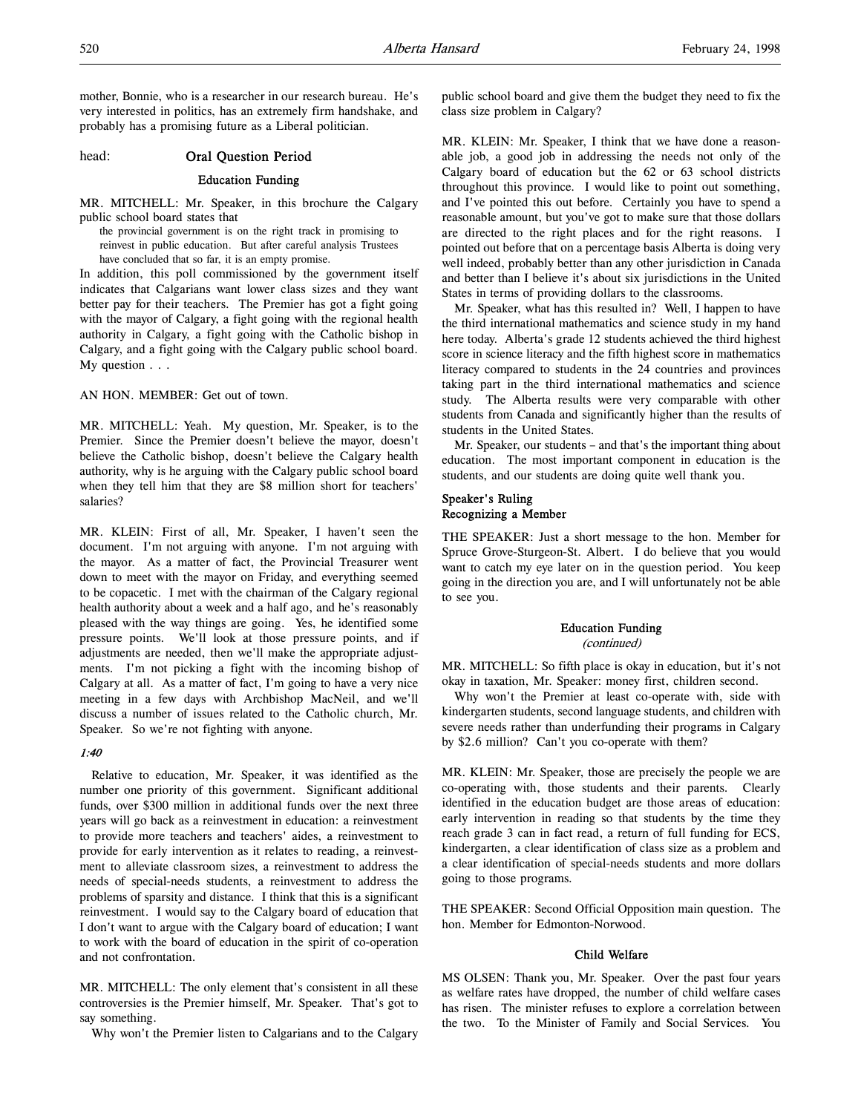mother, Bonnie, who is a researcher in our research bureau. He's very interested in politics, has an extremely firm handshake, and probably has a promising future as a Liberal politician.

# head: Oral Question Period

### Education Funding

MR. MITCHELL: Mr. Speaker, in this brochure the Calgary public school board states that

the provincial government is on the right track in promising to reinvest in public education. But after careful analysis Trustees have concluded that so far, it is an empty promise.

In addition, this poll commissioned by the government itself indicates that Calgarians want lower class sizes and they want better pay for their teachers. The Premier has got a fight going with the mayor of Calgary, a fight going with the regional health authority in Calgary, a fight going with the Catholic bishop in Calgary, and a fight going with the Calgary public school board. My question . . .

AN HON. MEMBER: Get out of town.

MR. MITCHELL: Yeah. My question, Mr. Speaker, is to the Premier. Since the Premier doesn't believe the mayor, doesn't believe the Catholic bishop, doesn't believe the Calgary health authority, why is he arguing with the Calgary public school board when they tell him that they are \$8 million short for teachers' salaries?

MR. KLEIN: First of all, Mr. Speaker, I haven't seen the document. I'm not arguing with anyone. I'm not arguing with the mayor. As a matter of fact, the Provincial Treasurer went down to meet with the mayor on Friday, and everything seemed to be copacetic. I met with the chairman of the Calgary regional health authority about a week and a half ago, and he's reasonably pleased with the way things are going. Yes, he identified some pressure points. We'll look at those pressure points, and if adjustments are needed, then we'll make the appropriate adjustments. I'm not picking a fight with the incoming bishop of Calgary at all. As a matter of fact, I'm going to have a very nice meeting in a few days with Archbishop MacNeil, and we'll discuss a number of issues related to the Catholic church, Mr. Speaker. So we're not fighting with anyone.

#### 1:40

Relative to education, Mr. Speaker, it was identified as the number one priority of this government. Significant additional funds, over \$300 million in additional funds over the next three years will go back as a reinvestment in education: a reinvestment to provide more teachers and teachers' aides, a reinvestment to provide for early intervention as it relates to reading, a reinvestment to alleviate classroom sizes, a reinvestment to address the needs of special-needs students, a reinvestment to address the problems of sparsity and distance. I think that this is a significant reinvestment. I would say to the Calgary board of education that I don't want to argue with the Calgary board of education; I want to work with the board of education in the spirit of co-operation and not confrontation.

MR. MITCHELL: The only element that's consistent in all these controversies is the Premier himself, Mr. Speaker. That's got to say something.

Why won't the Premier listen to Calgarians and to the Calgary

public school board and give them the budget they need to fix the class size problem in Calgary?

MR. KLEIN: Mr. Speaker, I think that we have done a reasonable job, a good job in addressing the needs not only of the Calgary board of education but the 62 or 63 school districts throughout this province. I would like to point out something, and I've pointed this out before. Certainly you have to spend a reasonable amount, but you've got to make sure that those dollars are directed to the right places and for the right reasons. I pointed out before that on a percentage basis Alberta is doing very well indeed, probably better than any other jurisdiction in Canada and better than I believe it's about six jurisdictions in the United States in terms of providing dollars to the classrooms.

Mr. Speaker, what has this resulted in? Well, I happen to have the third international mathematics and science study in my hand here today. Alberta's grade 12 students achieved the third highest score in science literacy and the fifth highest score in mathematics literacy compared to students in the 24 countries and provinces taking part in the third international mathematics and science study. The Alberta results were very comparable with other students from Canada and significantly higher than the results of students in the United States.

Mr. Speaker, our students – and that's the important thing about education. The most important component in education is the students, and our students are doing quite well thank you.

# Speaker's Ruling Recognizing a Member

THE SPEAKER: Just a short message to the hon. Member for Spruce Grove-Sturgeon-St. Albert. I do believe that you would want to catch my eye later on in the question period. You keep going in the direction you are, and I will unfortunately not be able to see you.

# Education Funding (continued)

MR. MITCHELL: So fifth place is okay in education, but it's not okay in taxation, Mr. Speaker: money first, children second.

Why won't the Premier at least co-operate with, side with kindergarten students, second language students, and children with severe needs rather than underfunding their programs in Calgary by \$2.6 million? Can't you co-operate with them?

MR. KLEIN: Mr. Speaker, those are precisely the people we are co-operating with, those students and their parents. Clearly identified in the education budget are those areas of education: early intervention in reading so that students by the time they reach grade 3 can in fact read, a return of full funding for ECS, kindergarten, a clear identification of class size as a problem and a clear identification of special-needs students and more dollars going to those programs.

THE SPEAKER: Second Official Opposition main question. The hon. Member for Edmonton-Norwood.

### Child Welfare

MS OLSEN: Thank you, Mr. Speaker. Over the past four years as welfare rates have dropped, the number of child welfare cases has risen. The minister refuses to explore a correlation between the two. To the Minister of Family and Social Services. You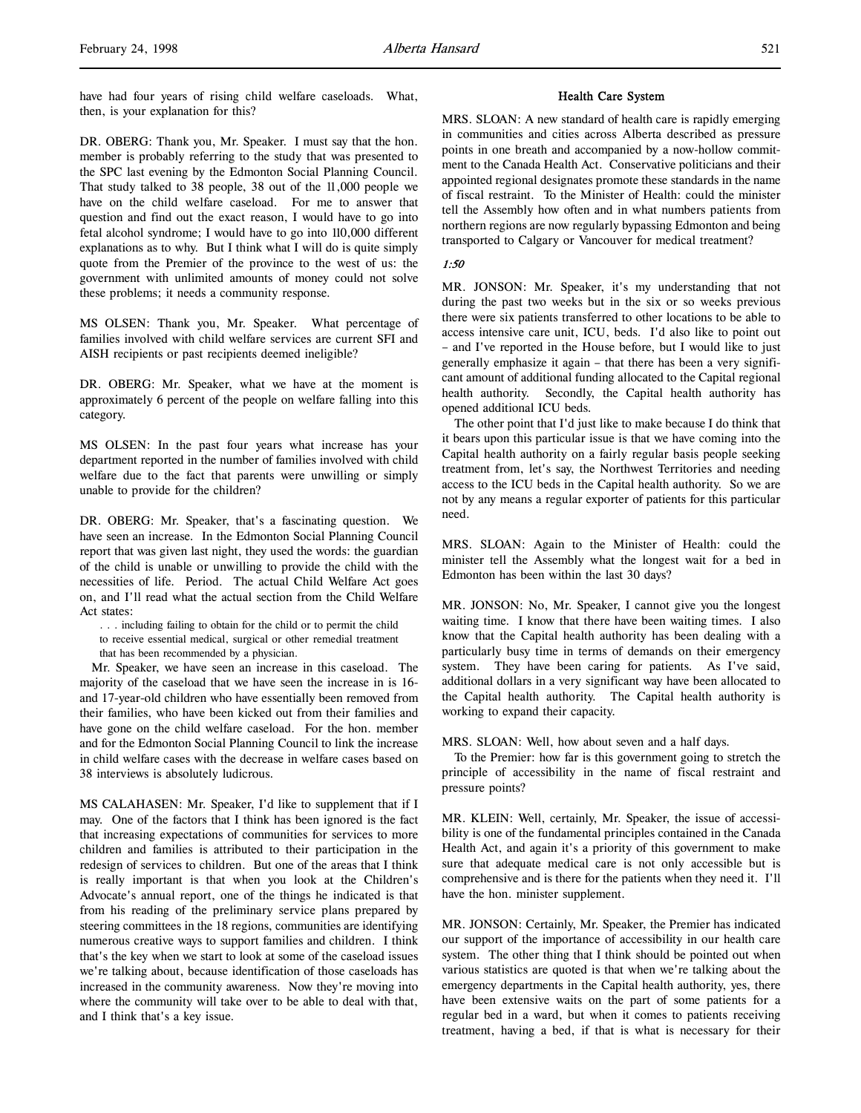DR. OBERG: Thank you, Mr. Speaker. I must say that the hon. member is probably referring to the study that was presented to the SPC last evening by the Edmonton Social Planning Council. That study talked to 38 people, 38 out of the 11,000 people we have on the child welfare caseload. For me to answer that question and find out the exact reason, I would have to go into fetal alcohol syndrome; I would have to go into 110,000 different explanations as to why. But I think what I will do is quite simply quote from the Premier of the province to the west of us: the government with unlimited amounts of money could not solve these problems; it needs a community response.

MS OLSEN: Thank you, Mr. Speaker. What percentage of families involved with child welfare services are current SFI and AISH recipients or past recipients deemed ineligible?

DR. OBERG: Mr. Speaker, what we have at the moment is approximately 6 percent of the people on welfare falling into this category.

MS OLSEN: In the past four years what increase has your department reported in the number of families involved with child welfare due to the fact that parents were unwilling or simply unable to provide for the children?

DR. OBERG: Mr. Speaker, that's a fascinating question. We have seen an increase. In the Edmonton Social Planning Council report that was given last night, they used the words: the guardian of the child is unable or unwilling to provide the child with the necessities of life. Period. The actual Child Welfare Act goes on, and I'll read what the actual section from the Child Welfare Act states:

- . . . including failing to obtain for the child or to permit the child
- to receive essential medical, surgical or other remedial treatment
- that has been recommended by a physician.

Mr. Speaker, we have seen an increase in this caseload. The majority of the caseload that we have seen the increase in is 16 and 17-year-old children who have essentially been removed from their families, who have been kicked out from their families and have gone on the child welfare caseload. For the hon. member and for the Edmonton Social Planning Council to link the increase in child welfare cases with the decrease in welfare cases based on 38 interviews is absolutely ludicrous.

MS CALAHASEN: Mr. Speaker, I'd like to supplement that if I may. One of the factors that I think has been ignored is the fact that increasing expectations of communities for services to more children and families is attributed to their participation in the redesign of services to children. But one of the areas that I think is really important is that when you look at the Children's Advocate's annual report, one of the things he indicated is that from his reading of the preliminary service plans prepared by steering committees in the 18 regions, communities are identifying numerous creative ways to support families and children. I think that's the key when we start to look at some of the caseload issues we're talking about, because identification of those caseloads has increased in the community awareness. Now they're moving into where the community will take over to be able to deal with that, and I think that's a key issue.

## Health Care System

MRS. SLOAN: A new standard of health care is rapidly emerging in communities and cities across Alberta described as pressure points in one breath and accompanied by a now-hollow commitment to the Canada Health Act. Conservative politicians and their appointed regional designates promote these standards in the name of fiscal restraint. To the Minister of Health: could the minister tell the Assembly how often and in what numbers patients from northern regions are now regularly bypassing Edmonton and being transported to Calgary or Vancouver for medical treatment?

## 1:50

MR. JONSON: Mr. Speaker, it's my understanding that not during the past two weeks but in the six or so weeks previous there were six patients transferred to other locations to be able to access intensive care unit, ICU, beds. I'd also like to point out – and I've reported in the House before, but I would like to just generally emphasize it again – that there has been a very significant amount of additional funding allocated to the Capital regional health authority. Secondly, the Capital health authority has opened additional ICU beds.

The other point that I'd just like to make because I do think that it bears upon this particular issue is that we have coming into the Capital health authority on a fairly regular basis people seeking treatment from, let's say, the Northwest Territories and needing access to the ICU beds in the Capital health authority. So we are not by any means a regular exporter of patients for this particular need.

MRS. SLOAN: Again to the Minister of Health: could the minister tell the Assembly what the longest wait for a bed in Edmonton has been within the last 30 days?

MR. JONSON: No, Mr. Speaker, I cannot give you the longest waiting time. I know that there have been waiting times. I also know that the Capital health authority has been dealing with a particularly busy time in terms of demands on their emergency system. They have been caring for patients. As I've said, additional dollars in a very significant way have been allocated to the Capital health authority. The Capital health authority is working to expand their capacity.

MRS. SLOAN: Well, how about seven and a half days.

To the Premier: how far is this government going to stretch the principle of accessibility in the name of fiscal restraint and pressure points?

MR. KLEIN: Well, certainly, Mr. Speaker, the issue of accessibility is one of the fundamental principles contained in the Canada Health Act, and again it's a priority of this government to make sure that adequate medical care is not only accessible but is comprehensive and is there for the patients when they need it. I'll have the hon. minister supplement.

MR. JONSON: Certainly, Mr. Speaker, the Premier has indicated our support of the importance of accessibility in our health care system. The other thing that I think should be pointed out when various statistics are quoted is that when we're talking about the emergency departments in the Capital health authority, yes, there have been extensive waits on the part of some patients for a regular bed in a ward, but when it comes to patients receiving treatment, having a bed, if that is what is necessary for their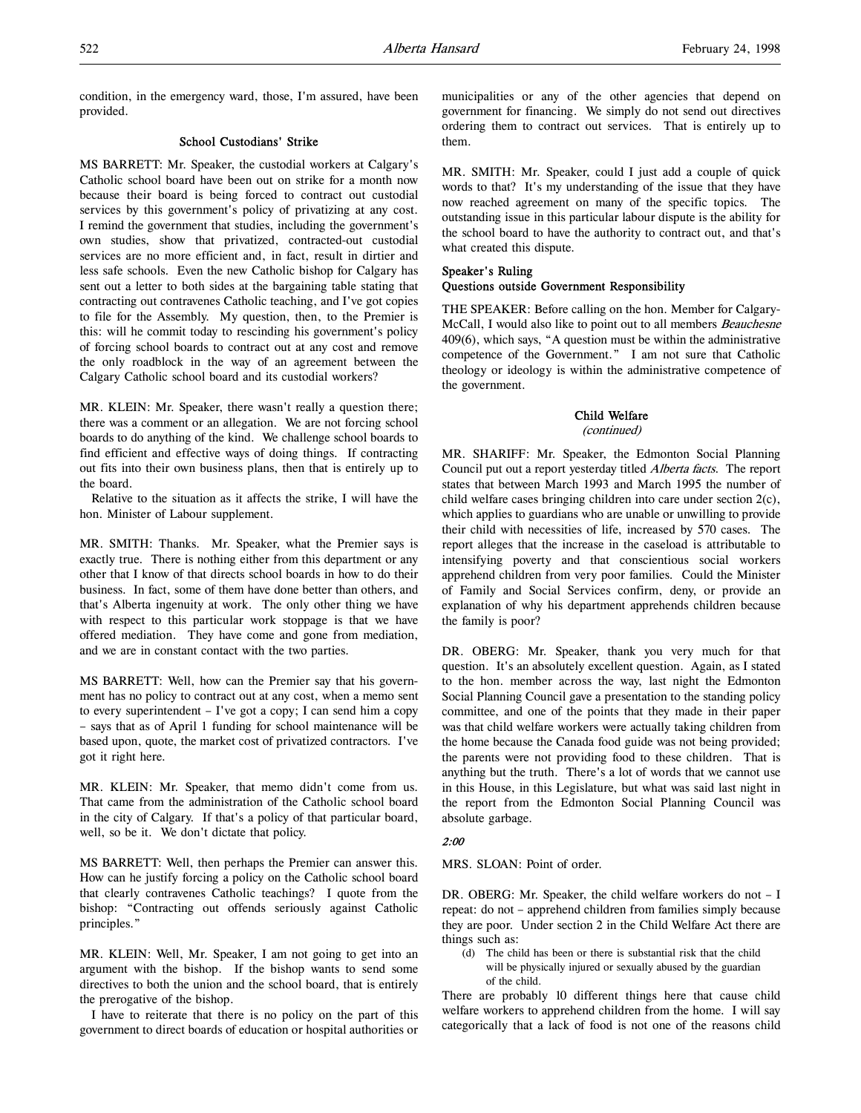condition, in the emergency ward, those, I'm assured, have been provided.

## School Custodians' Strike

MS BARRETT: Mr. Speaker, the custodial workers at Calgary's Catholic school board have been out on strike for a month now because their board is being forced to contract out custodial services by this government's policy of privatizing at any cost. I remind the government that studies, including the government's own studies, show that privatized, contracted-out custodial services are no more efficient and, in fact, result in dirtier and less safe schools. Even the new Catholic bishop for Calgary has sent out a letter to both sides at the bargaining table stating that contracting out contravenes Catholic teaching, and I've got copies to file for the Assembly. My question, then, to the Premier is this: will he commit today to rescinding his government's policy of forcing school boards to contract out at any cost and remove the only roadblock in the way of an agreement between the Calgary Catholic school board and its custodial workers?

MR. KLEIN: Mr. Speaker, there wasn't really a question there; there was a comment or an allegation. We are not forcing school boards to do anything of the kind. We challenge school boards to find efficient and effective ways of doing things. If contracting out fits into their own business plans, then that is entirely up to the board.

Relative to the situation as it affects the strike, I will have the hon. Minister of Labour supplement.

MR. SMITH: Thanks. Mr. Speaker, what the Premier says is exactly true. There is nothing either from this department or any other that I know of that directs school boards in how to do their business. In fact, some of them have done better than others, and that's Alberta ingenuity at work. The only other thing we have with respect to this particular work stoppage is that we have offered mediation. They have come and gone from mediation, and we are in constant contact with the two parties.

MS BARRETT: Well, how can the Premier say that his government has no policy to contract out at any cost, when a memo sent to every superintendent – I've got a copy; I can send him a copy – says that as of April 1 funding for school maintenance will be based upon, quote, the market cost of privatized contractors. I've got it right here.

MR. KLEIN: Mr. Speaker, that memo didn't come from us. That came from the administration of the Catholic school board in the city of Calgary. If that's a policy of that particular board, well, so be it. We don't dictate that policy.

MS BARRETT: Well, then perhaps the Premier can answer this. How can he justify forcing a policy on the Catholic school board that clearly contravenes Catholic teachings? I quote from the bishop: "Contracting out offends seriously against Catholic principles."

MR. KLEIN: Well, Mr. Speaker, I am not going to get into an argument with the bishop. If the bishop wants to send some directives to both the union and the school board, that is entirely the prerogative of the bishop.

I have to reiterate that there is no policy on the part of this government to direct boards of education or hospital authorities or

municipalities or any of the other agencies that depend on government for financing. We simply do not send out directives ordering them to contract out services. That is entirely up to them.

MR. SMITH: Mr. Speaker, could I just add a couple of quick words to that? It's my understanding of the issue that they have now reached agreement on many of the specific topics. The outstanding issue in this particular labour dispute is the ability for the school board to have the authority to contract out, and that's what created this dispute.

# Speaker's Ruling

# Questions outside Government Responsibility

THE SPEAKER: Before calling on the hon. Member for Calgary-McCall, I would also like to point out to all members Beauchesne 409(6), which says, "A question must be within the administrative competence of the Government." I am not sure that Catholic theology or ideology is within the administrative competence of the government.

# Child Welfare

(continued)

MR. SHARIFF: Mr. Speaker, the Edmonton Social Planning Council put out a report yesterday titled Alberta facts. The report states that between March 1993 and March 1995 the number of child welfare cases bringing children into care under section 2(c), which applies to guardians who are unable or unwilling to provide their child with necessities of life, increased by 570 cases. The report alleges that the increase in the caseload is attributable to intensifying poverty and that conscientious social workers apprehend children from very poor families. Could the Minister of Family and Social Services confirm, deny, or provide an explanation of why his department apprehends children because the family is poor?

DR. OBERG: Mr. Speaker, thank you very much for that question. It's an absolutely excellent question. Again, as I stated to the hon. member across the way, last night the Edmonton Social Planning Council gave a presentation to the standing policy committee, and one of the points that they made in their paper was that child welfare workers were actually taking children from the home because the Canada food guide was not being provided; the parents were not providing food to these children. That is anything but the truth. There's a lot of words that we cannot use in this House, in this Legislature, but what was said last night in the report from the Edmonton Social Planning Council was absolute garbage.

# 2:00

MRS. SLOAN: Point of order.

DR. OBERG: Mr. Speaker, the child welfare workers do not – I repeat: do not – apprehend children from families simply because they are poor. Under section 2 in the Child Welfare Act there are things such as:

(d) The child has been or there is substantial risk that the child will be physically injured or sexually abused by the guardian of the child.

There are probably 10 different things here that cause child welfare workers to apprehend children from the home. I will say categorically that a lack of food is not one of the reasons child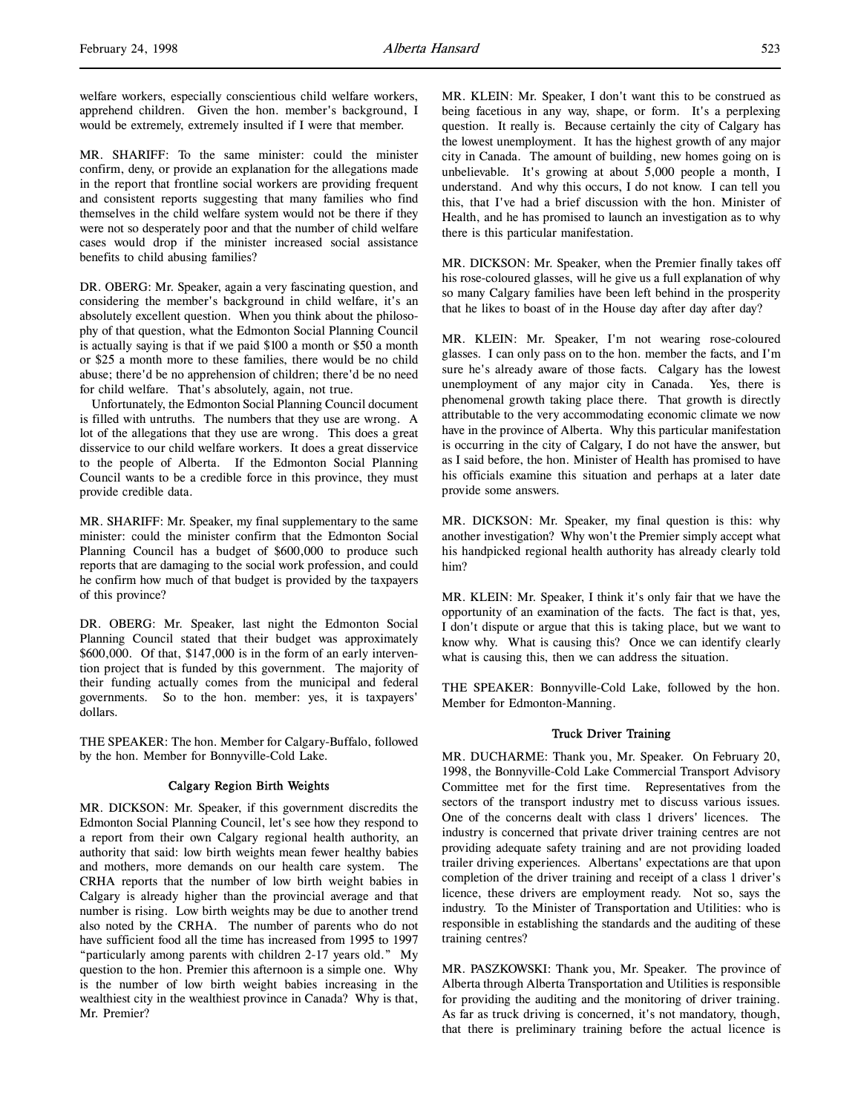welfare workers, especially conscientious child welfare workers, apprehend children. Given the hon. member's background, I would be extremely, extremely insulted if I were that member.

MR. SHARIFF: To the same minister: could the minister confirm, deny, or provide an explanation for the allegations made in the report that frontline social workers are providing frequent and consistent reports suggesting that many families who find themselves in the child welfare system would not be there if they were not so desperately poor and that the number of child welfare cases would drop if the minister increased social assistance benefits to child abusing families?

DR. OBERG: Mr. Speaker, again a very fascinating question, and considering the member's background in child welfare, it's an absolutely excellent question. When you think about the philosophy of that question, what the Edmonton Social Planning Council is actually saying is that if we paid \$100 a month or \$50 a month or \$25 a month more to these families, there would be no child abuse; there'd be no apprehension of children; there'd be no need for child welfare. That's absolutely, again, not true.

Unfortunately, the Edmonton Social Planning Council document is filled with untruths. The numbers that they use are wrong. A lot of the allegations that they use are wrong. This does a great disservice to our child welfare workers. It does a great disservice to the people of Alberta. If the Edmonton Social Planning Council wants to be a credible force in this province, they must provide credible data.

MR. SHARIFF: Mr. Speaker, my final supplementary to the same minister: could the minister confirm that the Edmonton Social Planning Council has a budget of \$600,000 to produce such reports that are damaging to the social work profession, and could he confirm how much of that budget is provided by the taxpayers of this province?

DR. OBERG: Mr. Speaker, last night the Edmonton Social Planning Council stated that their budget was approximately \$600,000. Of that, \$147,000 is in the form of an early intervention project that is funded by this government. The majority of their funding actually comes from the municipal and federal governments. So to the hon. member: yes, it is taxpayers' dollars.

THE SPEAKER: The hon. Member for Calgary-Buffalo, followed by the hon. Member for Bonnyville-Cold Lake.

# Calgary Region Birth Weights

MR. DICKSON: Mr. Speaker, if this government discredits the Edmonton Social Planning Council, let's see how they respond to a report from their own Calgary regional health authority, an authority that said: low birth weights mean fewer healthy babies and mothers, more demands on our health care system. The CRHA reports that the number of low birth weight babies in Calgary is already higher than the provincial average and that number is rising. Low birth weights may be due to another trend also noted by the CRHA. The number of parents who do not have sufficient food all the time has increased from 1995 to 1997 "particularly among parents with children 2-17 years old." My question to the hon. Premier this afternoon is a simple one. Why is the number of low birth weight babies increasing in the wealthiest city in the wealthiest province in Canada? Why is that, Mr. Premier?

MR. KLEIN: Mr. Speaker, I don't want this to be construed as being facetious in any way, shape, or form. It's a perplexing question. It really is. Because certainly the city of Calgary has the lowest unemployment. It has the highest growth of any major city in Canada. The amount of building, new homes going on is unbelievable. It's growing at about 5,000 people a month, I understand. And why this occurs, I do not know. I can tell you this, that I've had a brief discussion with the hon. Minister of Health, and he has promised to launch an investigation as to why there is this particular manifestation.

MR. DICKSON: Mr. Speaker, when the Premier finally takes off his rose-coloured glasses, will he give us a full explanation of why so many Calgary families have been left behind in the prosperity that he likes to boast of in the House day after day after day?

MR. KLEIN: Mr. Speaker, I'm not wearing rose-coloured glasses. I can only pass on to the hon. member the facts, and I'm sure he's already aware of those facts. Calgary has the lowest unemployment of any major city in Canada. Yes, there is phenomenal growth taking place there. That growth is directly attributable to the very accommodating economic climate we now have in the province of Alberta. Why this particular manifestation is occurring in the city of Calgary, I do not have the answer, but as I said before, the hon. Minister of Health has promised to have his officials examine this situation and perhaps at a later date provide some answers.

MR. DICKSON: Mr. Speaker, my final question is this: why another investigation? Why won't the Premier simply accept what his handpicked regional health authority has already clearly told him?

MR. KLEIN: Mr. Speaker, I think it's only fair that we have the opportunity of an examination of the facts. The fact is that, yes, I don't dispute or argue that this is taking place, but we want to know why. What is causing this? Once we can identify clearly what is causing this, then we can address the situation.

THE SPEAKER: Bonnyville-Cold Lake, followed by the hon. Member for Edmonton-Manning.

# Truck Driver Training

MR. DUCHARME: Thank you, Mr. Speaker. On February 20, 1998, the Bonnyville-Cold Lake Commercial Transport Advisory Committee met for the first time. Representatives from the sectors of the transport industry met to discuss various issues. One of the concerns dealt with class 1 drivers' licences. The industry is concerned that private driver training centres are not providing adequate safety training and are not providing loaded trailer driving experiences. Albertans' expectations are that upon completion of the driver training and receipt of a class 1 driver's licence, these drivers are employment ready. Not so, says the industry. To the Minister of Transportation and Utilities: who is responsible in establishing the standards and the auditing of these training centres?

MR. PASZKOWSKI: Thank you, Mr. Speaker. The province of Alberta through Alberta Transportation and Utilities is responsible for providing the auditing and the monitoring of driver training. As far as truck driving is concerned, it's not mandatory, though, that there is preliminary training before the actual licence is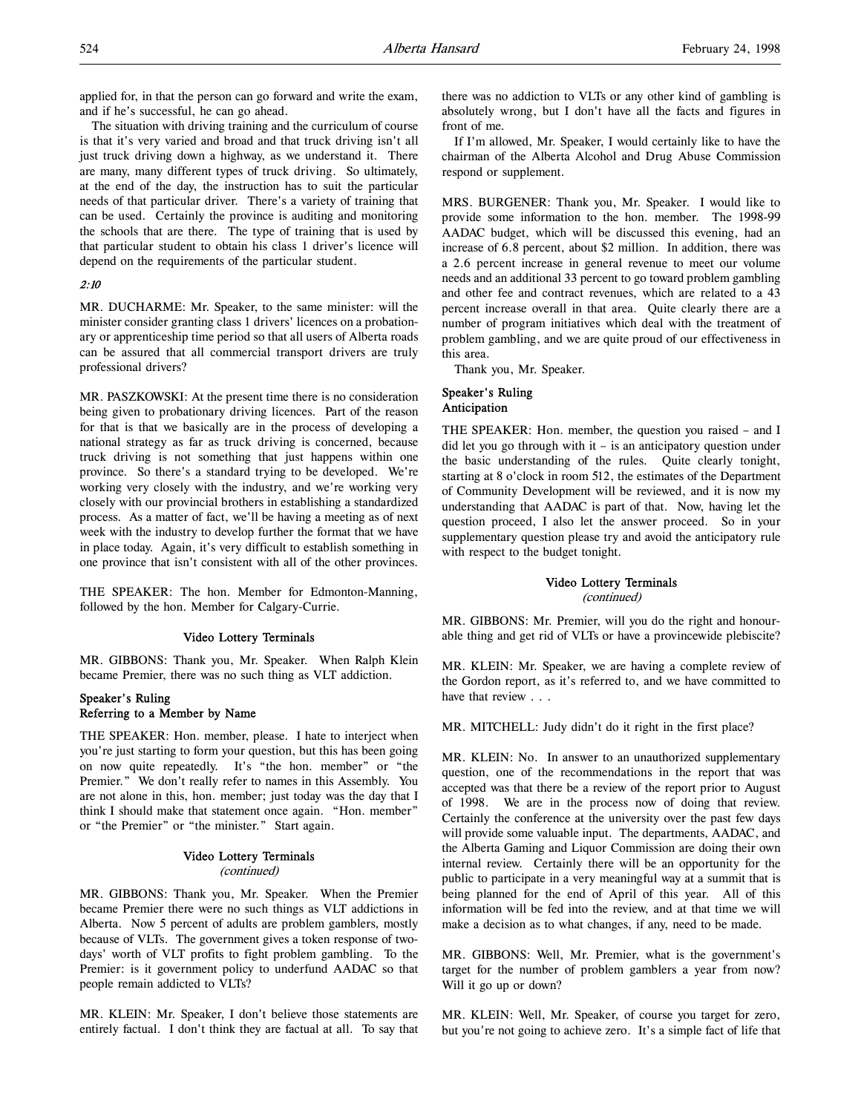applied for, in that the person can go forward and write the exam, and if he's successful, he can go ahead.

The situation with driving training and the curriculum of course is that it's very varied and broad and that truck driving isn't all just truck driving down a highway, as we understand it. There are many, many different types of truck driving. So ultimately, at the end of the day, the instruction has to suit the particular needs of that particular driver. There's a variety of training that can be used. Certainly the province is auditing and monitoring the schools that are there. The type of training that is used by that particular student to obtain his class 1 driver's licence will depend on the requirements of the particular student.

# 2:10

MR. DUCHARME: Mr. Speaker, to the same minister: will the minister consider granting class 1 drivers' licences on a probationary or apprenticeship time period so that all users of Alberta roads can be assured that all commercial transport drivers are truly professional drivers?

MR. PASZKOWSKI: At the present time there is no consideration being given to probationary driving licences. Part of the reason for that is that we basically are in the process of developing a national strategy as far as truck driving is concerned, because truck driving is not something that just happens within one province. So there's a standard trying to be developed. We're working very closely with the industry, and we're working very closely with our provincial brothers in establishing a standardized process. As a matter of fact, we'll be having a meeting as of next week with the industry to develop further the format that we have in place today. Again, it's very difficult to establish something in one province that isn't consistent with all of the other provinces.

THE SPEAKER: The hon. Member for Edmonton-Manning, followed by the hon. Member for Calgary-Currie.

#### Video Lottery Terminals

MR. GIBBONS: Thank you, Mr. Speaker. When Ralph Klein became Premier, there was no such thing as VLT addiction.

# Speaker's Ruling Referring to a Member by Name

THE SPEAKER: Hon. member, please. I hate to interject when you're just starting to form your question, but this has been going on now quite repeatedly. It's "the hon. member" or "the Premier." We don't really refer to names in this Assembly. You are not alone in this, hon. member; just today was the day that I think I should make that statement once again. "Hon. member" or "the Premier" or "the minister." Start again.

### Video Lottery Terminals (continued)

MR. GIBBONS: Thank you, Mr. Speaker. When the Premier became Premier there were no such things as VLT addictions in Alberta. Now 5 percent of adults are problem gamblers, mostly because of VLTs. The government gives a token response of twodays' worth of VLT profits to fight problem gambling. To the Premier: is it government policy to underfund AADAC so that people remain addicted to VLTs?

MR. KLEIN: Mr. Speaker, I don't believe those statements are entirely factual. I don't think they are factual at all. To say that there was no addiction to VLTs or any other kind of gambling is absolutely wrong, but I don't have all the facts and figures in front of me.

If I'm allowed, Mr. Speaker, I would certainly like to have the chairman of the Alberta Alcohol and Drug Abuse Commission respond or supplement.

MRS. BURGENER: Thank you, Mr. Speaker. I would like to provide some information to the hon. member. The 1998-99 AADAC budget, which will be discussed this evening, had an increase of 6.8 percent, about \$2 million. In addition, there was a 2.6 percent increase in general revenue to meet our volume needs and an additional 33 percent to go toward problem gambling and other fee and contract revenues, which are related to a 43 percent increase overall in that area. Quite clearly there are a number of program initiatives which deal with the treatment of problem gambling, and we are quite proud of our effectiveness in this area.

Thank you, Mr. Speaker.

# Speaker's Ruling Anticipation

THE SPEAKER: Hon. member, the question you raised – and I did let you go through with it – is an anticipatory question under the basic understanding of the rules. Quite clearly tonight, starting at 8 o'clock in room 512, the estimates of the Department of Community Development will be reviewed, and it is now my understanding that AADAC is part of that. Now, having let the question proceed, I also let the answer proceed. So in your supplementary question please try and avoid the anticipatory rule with respect to the budget tonight.

## Video Lottery Terminals

(continued)

MR. GIBBONS: Mr. Premier, will you do the right and honourable thing and get rid of VLTs or have a provincewide plebiscite?

MR. KLEIN: Mr. Speaker, we are having a complete review of the Gordon report, as it's referred to, and we have committed to have that review . . .

MR. MITCHELL: Judy didn't do it right in the first place?

MR. KLEIN: No. In answer to an unauthorized supplementary question, one of the recommendations in the report that was accepted was that there be a review of the report prior to August of 1998. We are in the process now of doing that review. Certainly the conference at the university over the past few days will provide some valuable input. The departments, AADAC, and the Alberta Gaming and Liquor Commission are doing their own internal review. Certainly there will be an opportunity for the public to participate in a very meaningful way at a summit that is being planned for the end of April of this year. All of this information will be fed into the review, and at that time we will make a decision as to what changes, if any, need to be made.

MR. GIBBONS: Well, Mr. Premier, what is the government's target for the number of problem gamblers a year from now? Will it go up or down?

MR. KLEIN: Well, Mr. Speaker, of course you target for zero, but you're not going to achieve zero. It's a simple fact of life that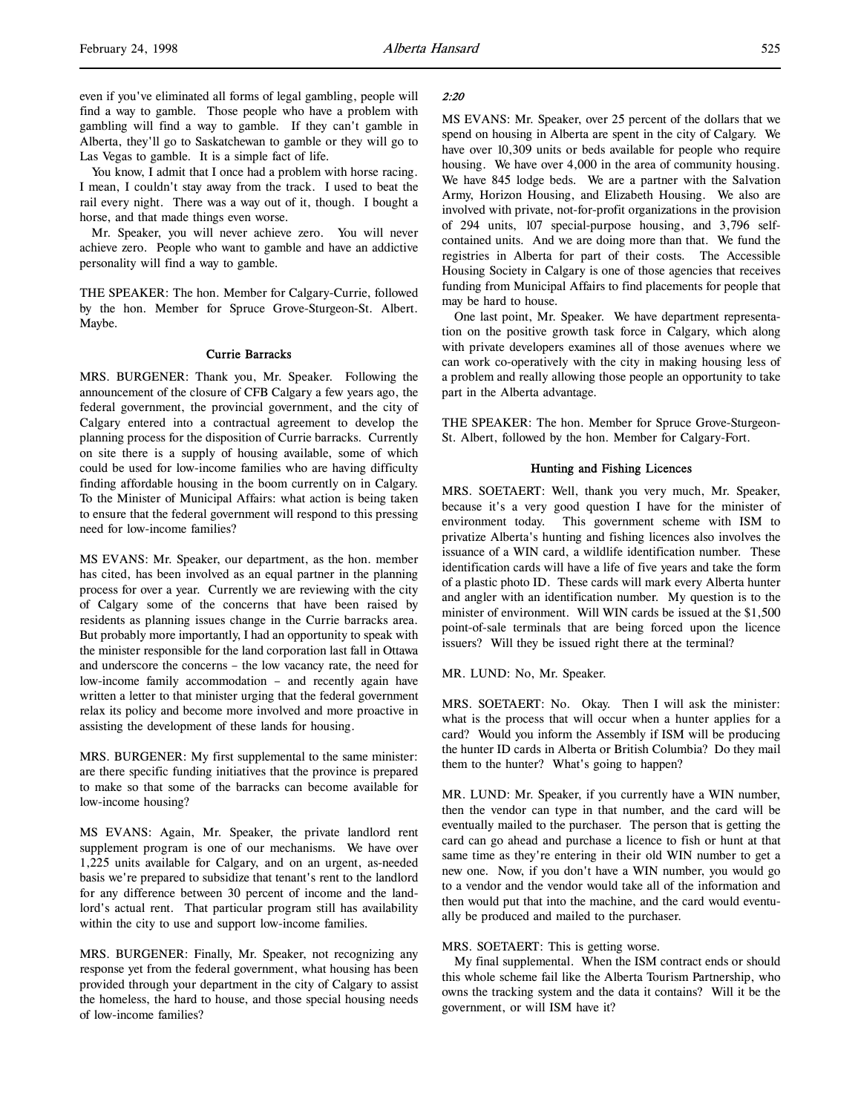even if you've eliminated all forms of legal gambling, people will find a way to gamble. Those people who have a problem with gambling will find a way to gamble. If they can't gamble in Alberta, they'll go to Saskatchewan to gamble or they will go to Las Vegas to gamble. It is a simple fact of life.

You know, I admit that I once had a problem with horse racing. I mean, I couldn't stay away from the track. I used to beat the rail every night. There was a way out of it, though. I bought a horse, and that made things even worse.

Mr. Speaker, you will never achieve zero. You will never achieve zero. People who want to gamble and have an addictive personality will find a way to gamble.

THE SPEAKER: The hon. Member for Calgary-Currie, followed by the hon. Member for Spruce Grove-Sturgeon-St. Albert. Maybe.

# Currie Barracks

MRS. BURGENER: Thank you, Mr. Speaker. Following the announcement of the closure of CFB Calgary a few years ago, the federal government, the provincial government, and the city of Calgary entered into a contractual agreement to develop the planning process for the disposition of Currie barracks. Currently on site there is a supply of housing available, some of which could be used for low-income families who are having difficulty finding affordable housing in the boom currently on in Calgary. To the Minister of Municipal Affairs: what action is being taken to ensure that the federal government will respond to this pressing need for low-income families?

MS EVANS: Mr. Speaker, our department, as the hon. member has cited, has been involved as an equal partner in the planning process for over a year. Currently we are reviewing with the city of Calgary some of the concerns that have been raised by residents as planning issues change in the Currie barracks area. But probably more importantly, I had an opportunity to speak with the minister responsible for the land corporation last fall in Ottawa and underscore the concerns – the low vacancy rate, the need for low-income family accommodation – and recently again have written a letter to that minister urging that the federal government relax its policy and become more involved and more proactive in assisting the development of these lands for housing.

MRS. BURGENER: My first supplemental to the same minister: are there specific funding initiatives that the province is prepared to make so that some of the barracks can become available for low-income housing?

MS EVANS: Again, Mr. Speaker, the private landlord rent supplement program is one of our mechanisms. We have over 1,225 units available for Calgary, and on an urgent, as-needed basis we're prepared to subsidize that tenant's rent to the landlord for any difference between 30 percent of income and the landlord's actual rent. That particular program still has availability within the city to use and support low-income families.

MRS. BURGENER: Finally, Mr. Speaker, not recognizing any response yet from the federal government, what housing has been provided through your department in the city of Calgary to assist the homeless, the hard to house, and those special housing needs of low-income families?

### 2:20

MS EVANS: Mr. Speaker, over 25 percent of the dollars that we spend on housing in Alberta are spent in the city of Calgary. We have over 10,309 units or beds available for people who require housing. We have over 4,000 in the area of community housing. We have 845 lodge beds. We are a partner with the Salvation Army, Horizon Housing, and Elizabeth Housing. We also are involved with private, not-for-profit organizations in the provision of 294 units, 107 special-purpose housing, and 3,796 selfcontained units. And we are doing more than that. We fund the registries in Alberta for part of their costs. The Accessible Housing Society in Calgary is one of those agencies that receives funding from Municipal Affairs to find placements for people that may be hard to house.

One last point, Mr. Speaker. We have department representation on the positive growth task force in Calgary, which along with private developers examines all of those avenues where we can work co-operatively with the city in making housing less of a problem and really allowing those people an opportunity to take part in the Alberta advantage.

THE SPEAKER: The hon. Member for Spruce Grove-Sturgeon-St. Albert, followed by the hon. Member for Calgary-Fort.

# Hunting and Fishing Licences

MRS. SOETAERT: Well, thank you very much, Mr. Speaker, because it's a very good question I have for the minister of environment today. This government scheme with ISM to privatize Alberta's hunting and fishing licences also involves the issuance of a WIN card, a wildlife identification number. These identification cards will have a life of five years and take the form of a plastic photo ID. These cards will mark every Alberta hunter and angler with an identification number. My question is to the minister of environment. Will WIN cards be issued at the \$1,500 point-of-sale terminals that are being forced upon the licence issuers? Will they be issued right there at the terminal?

MR. LUND: No, Mr. Speaker.

MRS. SOETAERT: No. Okay. Then I will ask the minister: what is the process that will occur when a hunter applies for a card? Would you inform the Assembly if ISM will be producing the hunter ID cards in Alberta or British Columbia? Do they mail them to the hunter? What's going to happen?

MR. LUND: Mr. Speaker, if you currently have a WIN number, then the vendor can type in that number, and the card will be eventually mailed to the purchaser. The person that is getting the card can go ahead and purchase a licence to fish or hunt at that same time as they're entering in their old WIN number to get a new one. Now, if you don't have a WIN number, you would go to a vendor and the vendor would take all of the information and then would put that into the machine, and the card would eventually be produced and mailed to the purchaser.

## MRS. SOETAERT: This is getting worse.

My final supplemental. When the ISM contract ends or should this whole scheme fail like the Alberta Tourism Partnership, who owns the tracking system and the data it contains? Will it be the government, or will ISM have it?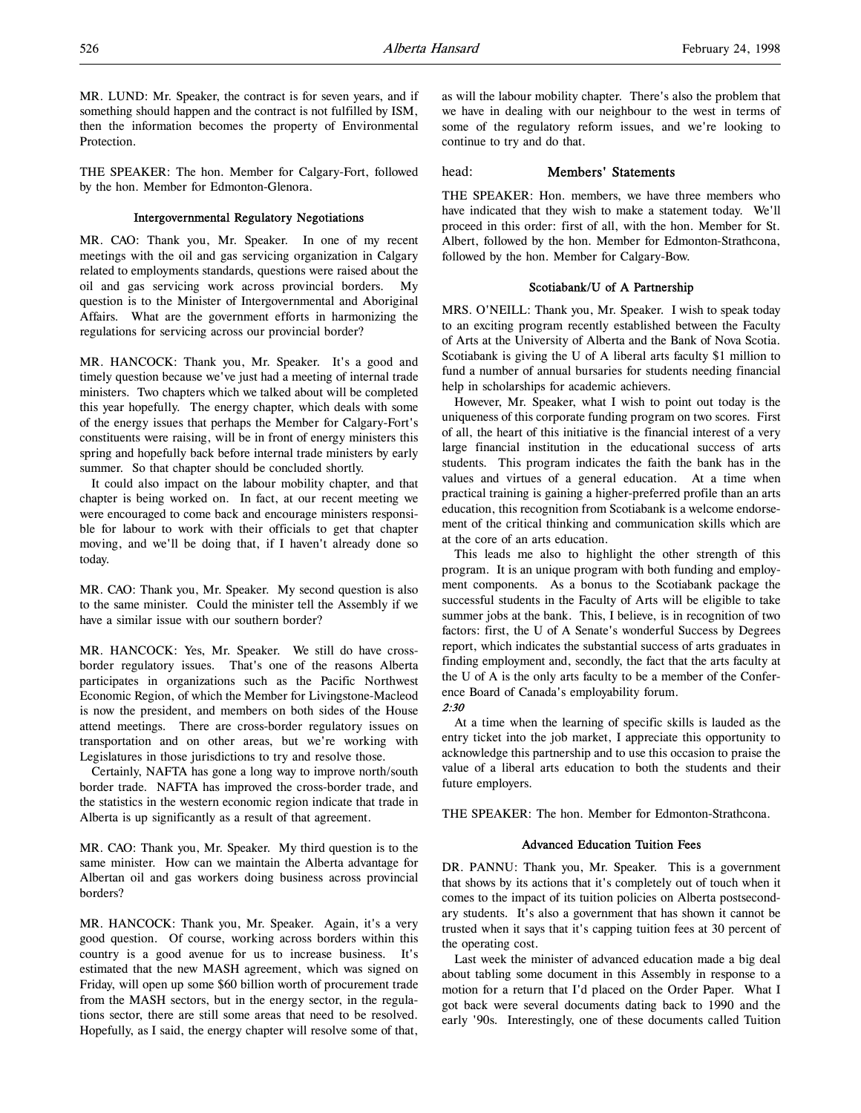MR. LUND: Mr. Speaker, the contract is for seven years, and if something should happen and the contract is not fulfilled by ISM, then the information becomes the property of Environmental **Protection** 

THE SPEAKER: The hon. Member for Calgary-Fort, followed by the hon. Member for Edmonton-Glenora.

## Intergovernmental Regulatory Negotiations

MR. CAO: Thank you, Mr. Speaker. In one of my recent meetings with the oil and gas servicing organization in Calgary related to employments standards, questions were raised about the oil and gas servicing work across provincial borders. My question is to the Minister of Intergovernmental and Aboriginal Affairs. What are the government efforts in harmonizing the regulations for servicing across our provincial border?

MR. HANCOCK: Thank you, Mr. Speaker. It's a good and timely question because we've just had a meeting of internal trade ministers. Two chapters which we talked about will be completed this year hopefully. The energy chapter, which deals with some of the energy issues that perhaps the Member for Calgary-Fort's constituents were raising, will be in front of energy ministers this spring and hopefully back before internal trade ministers by early summer. So that chapter should be concluded shortly.

It could also impact on the labour mobility chapter, and that chapter is being worked on. In fact, at our recent meeting we were encouraged to come back and encourage ministers responsible for labour to work with their officials to get that chapter moving, and we'll be doing that, if I haven't already done so today.

MR. CAO: Thank you, Mr. Speaker. My second question is also to the same minister. Could the minister tell the Assembly if we have a similar issue with our southern border?

MR. HANCOCK: Yes, Mr. Speaker. We still do have crossborder regulatory issues. That's one of the reasons Alberta participates in organizations such as the Pacific Northwest Economic Region, of which the Member for Livingstone-Macleod is now the president, and members on both sides of the House attend meetings. There are cross-border regulatory issues on transportation and on other areas, but we're working with Legislatures in those jurisdictions to try and resolve those.

Certainly, NAFTA has gone a long way to improve north/south border trade. NAFTA has improved the cross-border trade, and the statistics in the western economic region indicate that trade in Alberta is up significantly as a result of that agreement.

MR. CAO: Thank you, Mr. Speaker. My third question is to the same minister. How can we maintain the Alberta advantage for Albertan oil and gas workers doing business across provincial borders?

MR. HANCOCK: Thank you, Mr. Speaker. Again, it's a very good question. Of course, working across borders within this country is a good avenue for us to increase business. It's estimated that the new MASH agreement, which was signed on Friday, will open up some \$60 billion worth of procurement trade from the MASH sectors, but in the energy sector, in the regulations sector, there are still some areas that need to be resolved. Hopefully, as I said, the energy chapter will resolve some of that,

as will the labour mobility chapter. There's also the problem that we have in dealing with our neighbour to the west in terms of some of the regulatory reform issues, and we're looking to continue to try and do that.

# head: Members' Statements

THE SPEAKER: Hon. members, we have three members who have indicated that they wish to make a statement today. We'll proceed in this order: first of all, with the hon. Member for St. Albert, followed by the hon. Member for Edmonton-Strathcona, followed by the hon. Member for Calgary-Bow.

## Scotiabank/U of A Partnership

MRS. O'NEILL: Thank you, Mr. Speaker. I wish to speak today to an exciting program recently established between the Faculty of Arts at the University of Alberta and the Bank of Nova Scotia. Scotiabank is giving the U of A liberal arts faculty \$1 million to fund a number of annual bursaries for students needing financial help in scholarships for academic achievers.

However, Mr. Speaker, what I wish to point out today is the uniqueness of this corporate funding program on two scores. First of all, the heart of this initiative is the financial interest of a very large financial institution in the educational success of arts students. This program indicates the faith the bank has in the values and virtues of a general education. At a time when practical training is gaining a higher-preferred profile than an arts education, this recognition from Scotiabank is a welcome endorsement of the critical thinking and communication skills which are at the core of an arts education.

This leads me also to highlight the other strength of this program. It is an unique program with both funding and employment components. As a bonus to the Scotiabank package the successful students in the Faculty of Arts will be eligible to take summer jobs at the bank. This, I believe, is in recognition of two factors: first, the U of A Senate's wonderful Success by Degrees report, which indicates the substantial success of arts graduates in finding employment and, secondly, the fact that the arts faculty at the U of A is the only arts faculty to be a member of the Conference Board of Canada's employability forum.

At a time when the learning of specific skills is lauded as the entry ticket into the job market, I appreciate this opportunity to acknowledge this partnership and to use this occasion to praise the value of a liberal arts education to both the students and their future employers.

THE SPEAKER: The hon. Member for Edmonton-Strathcona.

# Advanced Education Tuition Fees

DR. PANNU: Thank you, Mr. Speaker. This is a government that shows by its actions that it's completely out of touch when it comes to the impact of its tuition policies on Alberta postsecondary students. It's also a government that has shown it cannot be trusted when it says that it's capping tuition fees at 30 percent of the operating cost.

Last week the minister of advanced education made a big deal about tabling some document in this Assembly in response to a motion for a return that I'd placed on the Order Paper. What I got back were several documents dating back to 1990 and the early '90s. Interestingly, one of these documents called Tuition

<sup>2:30</sup>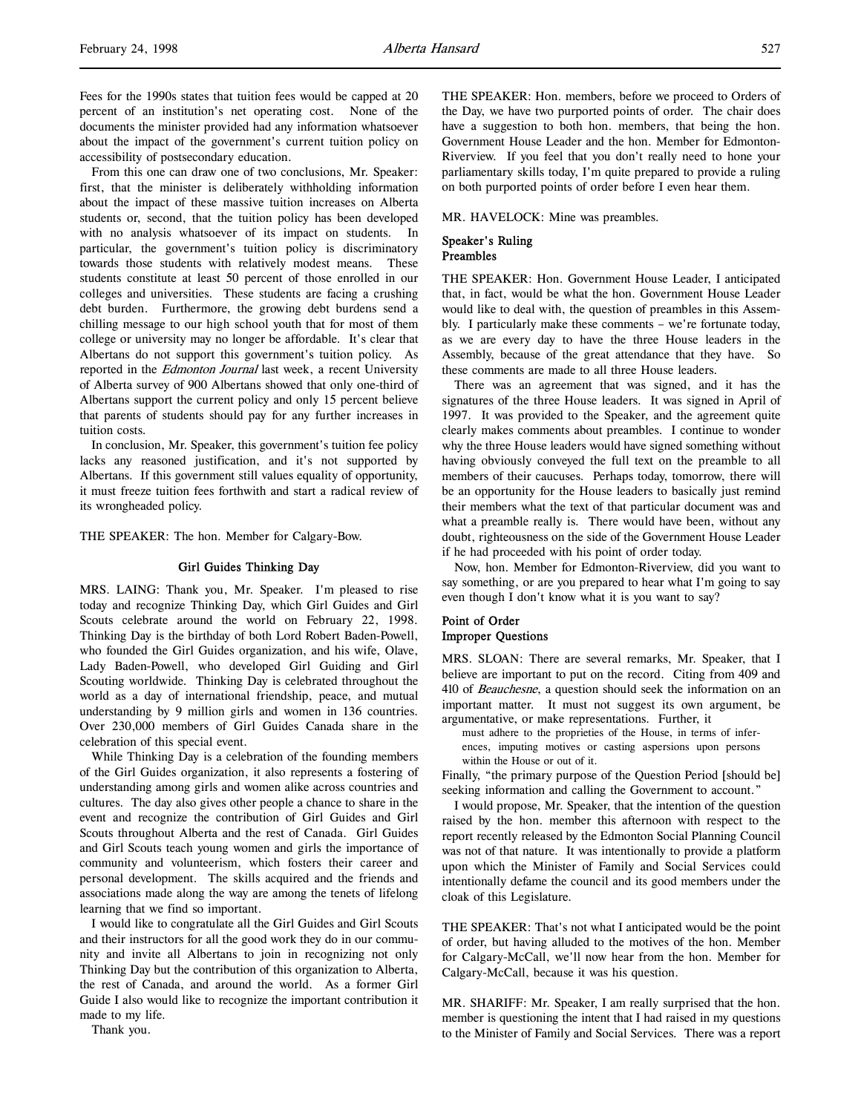Fees for the 1990s states that tuition fees would be capped at 20 percent of an institution's net operating cost. None of the documents the minister provided had any information whatsoever about the impact of the government's current tuition policy on accessibility of postsecondary education.

From this one can draw one of two conclusions, Mr. Speaker: first, that the minister is deliberately withholding information about the impact of these massive tuition increases on Alberta students or, second, that the tuition policy has been developed with no analysis whatsoever of its impact on students. In particular, the government's tuition policy is discriminatory towards those students with relatively modest means. These students constitute at least 50 percent of those enrolled in our colleges and universities. These students are facing a crushing debt burden. Furthermore, the growing debt burdens send a chilling message to our high school youth that for most of them college or university may no longer be affordable. It's clear that Albertans do not support this government's tuition policy. As reported in the Edmonton Journal last week, a recent University of Alberta survey of 900 Albertans showed that only one-third of Albertans support the current policy and only 15 percent believe that parents of students should pay for any further increases in tuition costs.

In conclusion, Mr. Speaker, this government's tuition fee policy lacks any reasoned justification, and it's not supported by Albertans. If this government still values equality of opportunity, it must freeze tuition fees forthwith and start a radical review of its wrongheaded policy.

THE SPEAKER: The hon. Member for Calgary-Bow.

#### Girl Guides Thinking Day

MRS. LAING: Thank you, Mr. Speaker. I'm pleased to rise today and recognize Thinking Day, which Girl Guides and Girl Scouts celebrate around the world on February 22, 1998. Thinking Day is the birthday of both Lord Robert Baden-Powell, who founded the Girl Guides organization, and his wife, Olave, Lady Baden-Powell, who developed Girl Guiding and Girl Scouting worldwide. Thinking Day is celebrated throughout the world as a day of international friendship, peace, and mutual understanding by 9 million girls and women in 136 countries. Over 230,000 members of Girl Guides Canada share in the celebration of this special event.

While Thinking Day is a celebration of the founding members of the Girl Guides organization, it also represents a fostering of understanding among girls and women alike across countries and cultures. The day also gives other people a chance to share in the event and recognize the contribution of Girl Guides and Girl Scouts throughout Alberta and the rest of Canada. Girl Guides and Girl Scouts teach young women and girls the importance of community and volunteerism, which fosters their career and personal development. The skills acquired and the friends and associations made along the way are among the tenets of lifelong learning that we find so important.

I would like to congratulate all the Girl Guides and Girl Scouts and their instructors for all the good work they do in our community and invite all Albertans to join in recognizing not only Thinking Day but the contribution of this organization to Alberta, the rest of Canada, and around the world. As a former Girl Guide I also would like to recognize the important contribution it made to my life.

THE SPEAKER: Hon. members, before we proceed to Orders of the Day, we have two purported points of order. The chair does have a suggestion to both hon. members, that being the hon. Government House Leader and the hon. Member for Edmonton-Riverview. If you feel that you don't really need to hone your parliamentary skills today, I'm quite prepared to provide a ruling on both purported points of order before I even hear them.

MR. HAVELOCK: Mine was preambles.

## Speaker's Ruling Preambles

THE SPEAKER: Hon. Government House Leader, I anticipated that, in fact, would be what the hon. Government House Leader would like to deal with, the question of preambles in this Assembly. I particularly make these comments – we're fortunate today, as we are every day to have the three House leaders in the Assembly, because of the great attendance that they have. So these comments are made to all three House leaders.

There was an agreement that was signed, and it has the signatures of the three House leaders. It was signed in April of 1997. It was provided to the Speaker, and the agreement quite clearly makes comments about preambles. I continue to wonder why the three House leaders would have signed something without having obviously conveyed the full text on the preamble to all members of their caucuses. Perhaps today, tomorrow, there will be an opportunity for the House leaders to basically just remind their members what the text of that particular document was and what a preamble really is. There would have been, without any doubt, righteousness on the side of the Government House Leader if he had proceeded with his point of order today.

Now, hon. Member for Edmonton-Riverview, did you want to say something, or are you prepared to hear what I'm going to say even though I don't know what it is you want to say?

# Point of Order Improper Questions

MRS. SLOAN: There are several remarks, Mr. Speaker, that I believe are important to put on the record. Citing from 409 and 410 of Beauchesne, a question should seek the information on an important matter. It must not suggest its own argument, be argumentative, or make representations. Further, it

must adhere to the proprieties of the House, in terms of inferences, imputing motives or casting aspersions upon persons within the House or out of it.

Finally, "the primary purpose of the Question Period [should be] seeking information and calling the Government to account."

I would propose, Mr. Speaker, that the intention of the question raised by the hon. member this afternoon with respect to the report recently released by the Edmonton Social Planning Council was not of that nature. It was intentionally to provide a platform upon which the Minister of Family and Social Services could intentionally defame the council and its good members under the cloak of this Legislature.

THE SPEAKER: That's not what I anticipated would be the point of order, but having alluded to the motives of the hon. Member for Calgary-McCall, we'll now hear from the hon. Member for Calgary-McCall, because it was his question.

MR. SHARIFF: Mr. Speaker, I am really surprised that the hon. member is questioning the intent that I had raised in my questions to the Minister of Family and Social Services. There was a report

Thank you.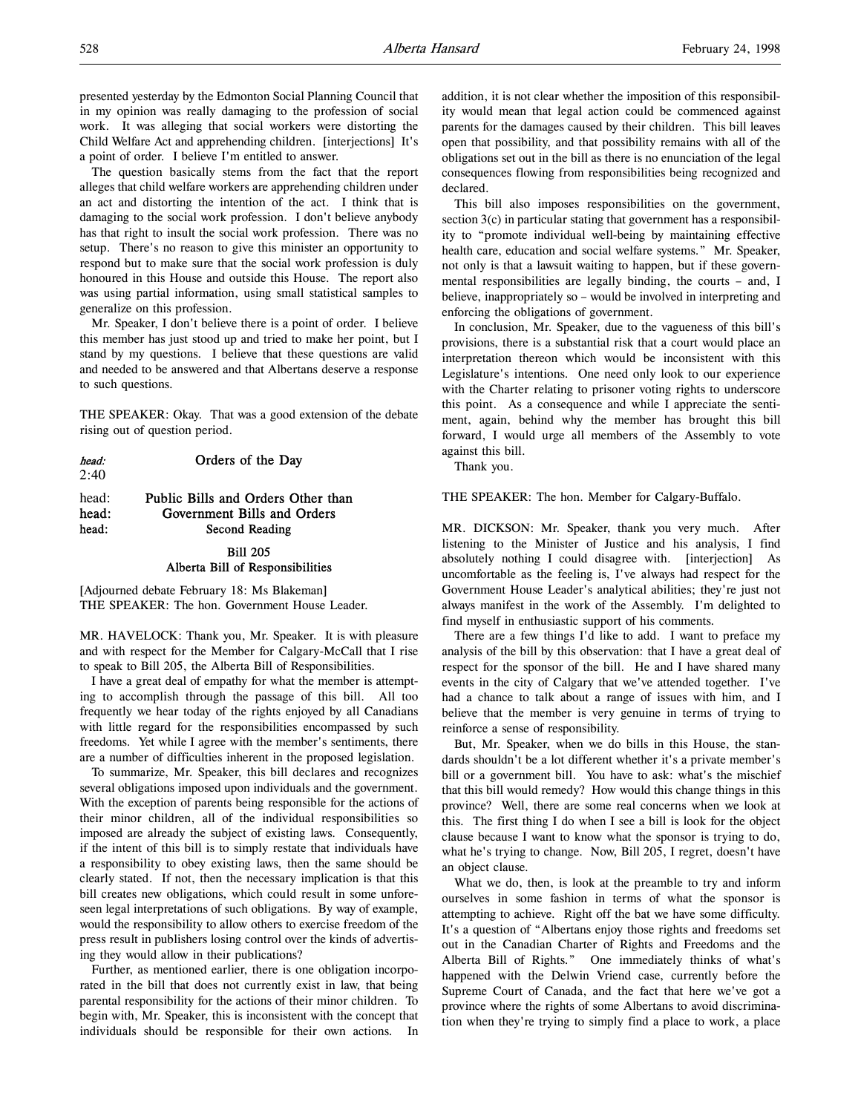presented yesterday by the Edmonton Social Planning Council that in my opinion was really damaging to the profession of social work. It was alleging that social workers were distorting the Child Welfare Act and apprehending children. [interjections] It's a point of order. I believe I'm entitled to answer.

The question basically stems from the fact that the report alleges that child welfare workers are apprehending children under an act and distorting the intention of the act. I think that is damaging to the social work profession. I don't believe anybody has that right to insult the social work profession. There was no setup. There's no reason to give this minister an opportunity to respond but to make sure that the social work profession is duly honoured in this House and outside this House. The report also was using partial information, using small statistical samples to generalize on this profession.

Mr. Speaker, I don't believe there is a point of order. I believe this member has just stood up and tried to make her point, but I stand by my questions. I believe that these questions are valid and needed to be answered and that Albertans deserve a response to such questions.

THE SPEAKER: Okay. That was a good extension of the debate rising out of question period.

| head: | Orders of the Day |
|-------|-------------------|
| 2:40  |                   |

# head: Public Bills and Orders Other than head: Government Bills and Orders head: Second Reading

### Bill 205

# Alberta Bill of Responsibilities

[Adjourned debate February 18: Ms Blakeman] THE SPEAKER: The hon. Government House Leader.

MR. HAVELOCK: Thank you, Mr. Speaker. It is with pleasure and with respect for the Member for Calgary-McCall that I rise to speak to Bill 205, the Alberta Bill of Responsibilities.

I have a great deal of empathy for what the member is attempting to accomplish through the passage of this bill. All too frequently we hear today of the rights enjoyed by all Canadians with little regard for the responsibilities encompassed by such freedoms. Yet while I agree with the member's sentiments, there are a number of difficulties inherent in the proposed legislation.

To summarize, Mr. Speaker, this bill declares and recognizes several obligations imposed upon individuals and the government. With the exception of parents being responsible for the actions of their minor children, all of the individual responsibilities so imposed are already the subject of existing laws. Consequently, if the intent of this bill is to simply restate that individuals have a responsibility to obey existing laws, then the same should be clearly stated. If not, then the necessary implication is that this bill creates new obligations, which could result in some unforeseen legal interpretations of such obligations. By way of example, would the responsibility to allow others to exercise freedom of the press result in publishers losing control over the kinds of advertising they would allow in their publications?

Further, as mentioned earlier, there is one obligation incorporated in the bill that does not currently exist in law, that being parental responsibility for the actions of their minor children. To begin with, Mr. Speaker, this is inconsistent with the concept that individuals should be responsible for their own actions. In

addition, it is not clear whether the imposition of this responsibility would mean that legal action could be commenced against parents for the damages caused by their children. This bill leaves open that possibility, and that possibility remains with all of the obligations set out in the bill as there is no enunciation of the legal consequences flowing from responsibilities being recognized and declared.

This bill also imposes responsibilities on the government, section 3(c) in particular stating that government has a responsibility to "promote individual well-being by maintaining effective health care, education and social welfare systems." Mr. Speaker, not only is that a lawsuit waiting to happen, but if these governmental responsibilities are legally binding, the courts – and, I believe, inappropriately so – would be involved in interpreting and enforcing the obligations of government.

In conclusion, Mr. Speaker, due to the vagueness of this bill's provisions, there is a substantial risk that a court would place an interpretation thereon which would be inconsistent with this Legislature's intentions. One need only look to our experience with the Charter relating to prisoner voting rights to underscore this point. As a consequence and while I appreciate the sentiment, again, behind why the member has brought this bill forward, I would urge all members of the Assembly to vote against this bill.

Thank you.

THE SPEAKER: The hon. Member for Calgary-Buffalo.

MR. DICKSON: Mr. Speaker, thank you very much. After listening to the Minister of Justice and his analysis, I find absolutely nothing I could disagree with. [interjection] As uncomfortable as the feeling is, I've always had respect for the Government House Leader's analytical abilities; they're just not always manifest in the work of the Assembly. I'm delighted to find myself in enthusiastic support of his comments.

There are a few things I'd like to add. I want to preface my analysis of the bill by this observation: that I have a great deal of respect for the sponsor of the bill. He and I have shared many events in the city of Calgary that we've attended together. I've had a chance to talk about a range of issues with him, and I believe that the member is very genuine in terms of trying to reinforce a sense of responsibility.

But, Mr. Speaker, when we do bills in this House, the standards shouldn't be a lot different whether it's a private member's bill or a government bill. You have to ask: what's the mischief that this bill would remedy? How would this change things in this province? Well, there are some real concerns when we look at this. The first thing I do when I see a bill is look for the object clause because I want to know what the sponsor is trying to do, what he's trying to change. Now, Bill 205, I regret, doesn't have an object clause.

What we do, then, is look at the preamble to try and inform ourselves in some fashion in terms of what the sponsor is attempting to achieve. Right off the bat we have some difficulty. It's a question of "Albertans enjoy those rights and freedoms set out in the Canadian Charter of Rights and Freedoms and the Alberta Bill of Rights." One immediately thinks of what's happened with the Delwin Vriend case, currently before the Supreme Court of Canada, and the fact that here we've got a province where the rights of some Albertans to avoid discrimination when they're trying to simply find a place to work, a place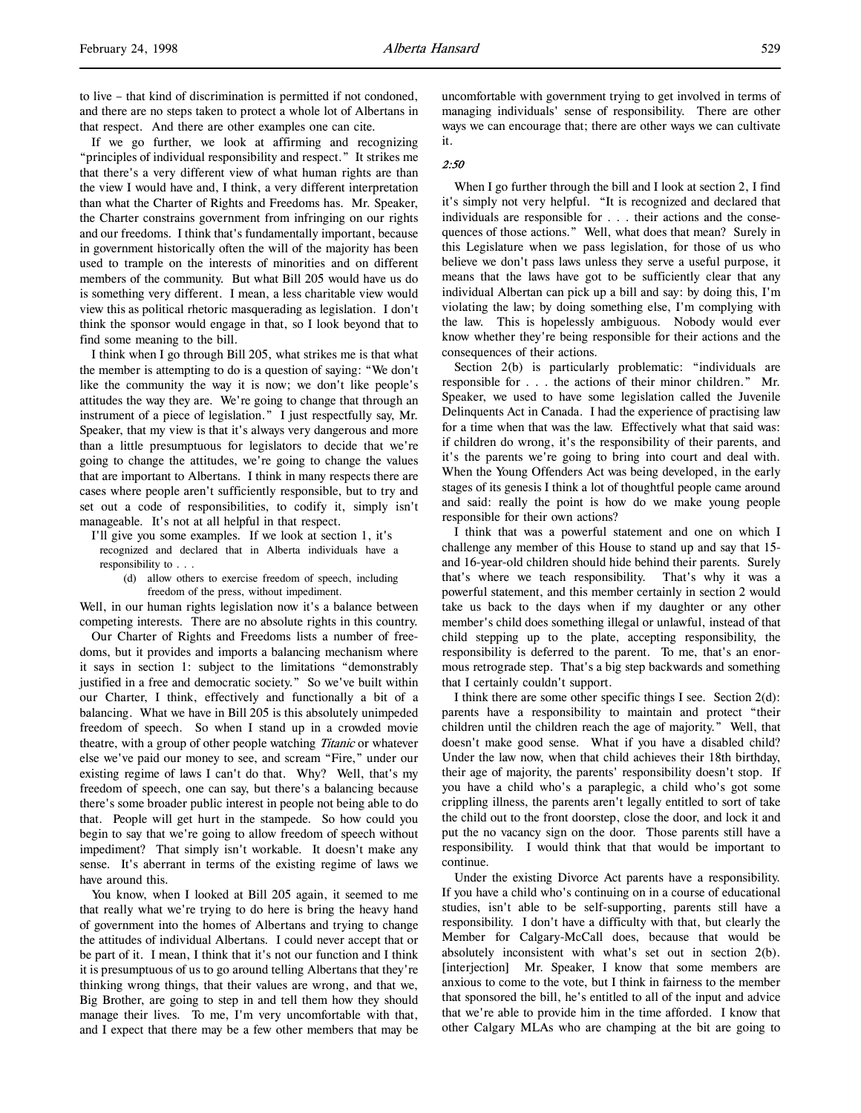If we go further, we look at affirming and recognizing "principles of individual responsibility and respect." It strikes me that there's a very different view of what human rights are than the view I would have and, I think, a very different interpretation than what the Charter of Rights and Freedoms has. Mr. Speaker, the Charter constrains government from infringing on our rights and our freedoms. I think that's fundamentally important, because in government historically often the will of the majority has been used to trample on the interests of minorities and on different members of the community. But what Bill 205 would have us do is something very different. I mean, a less charitable view would view this as political rhetoric masquerading as legislation. I don't think the sponsor would engage in that, so I look beyond that to find some meaning to the bill.

I think when I go through Bill 205, what strikes me is that what the member is attempting to do is a question of saying: "We don't like the community the way it is now; we don't like people's attitudes the way they are. We're going to change that through an instrument of a piece of legislation." I just respectfully say, Mr. Speaker, that my view is that it's always very dangerous and more than a little presumptuous for legislators to decide that we're going to change the attitudes, we're going to change the values that are important to Albertans. I think in many respects there are cases where people aren't sufficiently responsible, but to try and set out a code of responsibilities, to codify it, simply isn't manageable. It's not at all helpful in that respect.

I'll give you some examples. If we look at section 1, it's recognized and declared that in Alberta individuals have a responsibility to . . .

(d) allow others to exercise freedom of speech, including freedom of the press, without impediment.

Well, in our human rights legislation now it's a balance between competing interests. There are no absolute rights in this country.

Our Charter of Rights and Freedoms lists a number of freedoms, but it provides and imports a balancing mechanism where it says in section 1: subject to the limitations "demonstrably justified in a free and democratic society." So we've built within our Charter, I think, effectively and functionally a bit of a balancing. What we have in Bill 205 is this absolutely unimpeded freedom of speech. So when I stand up in a crowded movie theatre, with a group of other people watching Titanic or whatever else we've paid our money to see, and scream "Fire," under our existing regime of laws I can't do that. Why? Well, that's my freedom of speech, one can say, but there's a balancing because there's some broader public interest in people not being able to do that. People will get hurt in the stampede. So how could you begin to say that we're going to allow freedom of speech without impediment? That simply isn't workable. It doesn't make any sense. It's aberrant in terms of the existing regime of laws we have around this.

You know, when I looked at Bill 205 again, it seemed to me that really what we're trying to do here is bring the heavy hand of government into the homes of Albertans and trying to change the attitudes of individual Albertans. I could never accept that or be part of it. I mean, I think that it's not our function and I think it is presumptuous of us to go around telling Albertans that they're thinking wrong things, that their values are wrong, and that we, Big Brother, are going to step in and tell them how they should manage their lives. To me, I'm very uncomfortable with that, and I expect that there may be a few other members that may be

uncomfortable with government trying to get involved in terms of managing individuals' sense of responsibility. There are other ways we can encourage that; there are other ways we can cultivate it.

### 2:50

When I go further through the bill and I look at section 2, I find it's simply not very helpful. "It is recognized and declared that individuals are responsible for . . . their actions and the consequences of those actions." Well, what does that mean? Surely in this Legislature when we pass legislation, for those of us who believe we don't pass laws unless they serve a useful purpose, it means that the laws have got to be sufficiently clear that any individual Albertan can pick up a bill and say: by doing this, I'm violating the law; by doing something else, I'm complying with the law. This is hopelessly ambiguous. Nobody would ever know whether they're being responsible for their actions and the consequences of their actions.

Section 2(b) is particularly problematic: "individuals are responsible for . . . the actions of their minor children." Mr. Speaker, we used to have some legislation called the Juvenile Delinquents Act in Canada. I had the experience of practising law for a time when that was the law. Effectively what that said was: if children do wrong, it's the responsibility of their parents, and it's the parents we're going to bring into court and deal with. When the Young Offenders Act was being developed, in the early stages of its genesis I think a lot of thoughtful people came around and said: really the point is how do we make young people responsible for their own actions?

I think that was a powerful statement and one on which I challenge any member of this House to stand up and say that 15 and 16-year-old children should hide behind their parents. Surely that's where we teach responsibility. That's why it was a powerful statement, and this member certainly in section 2 would take us back to the days when if my daughter or any other member's child does something illegal or unlawful, instead of that child stepping up to the plate, accepting responsibility, the responsibility is deferred to the parent. To me, that's an enormous retrograde step. That's a big step backwards and something that I certainly couldn't support.

I think there are some other specific things I see. Section 2(d): parents have a responsibility to maintain and protect "their children until the children reach the age of majority." Well, that doesn't make good sense. What if you have a disabled child? Under the law now, when that child achieves their 18th birthday, their age of majority, the parents' responsibility doesn't stop. If you have a child who's a paraplegic, a child who's got some crippling illness, the parents aren't legally entitled to sort of take the child out to the front doorstep, close the door, and lock it and put the no vacancy sign on the door. Those parents still have a responsibility. I would think that that would be important to continue.

Under the existing Divorce Act parents have a responsibility. If you have a child who's continuing on in a course of educational studies, isn't able to be self-supporting, parents still have a responsibility. I don't have a difficulty with that, but clearly the Member for Calgary-McCall does, because that would be absolutely inconsistent with what's set out in section 2(b). [interjection] Mr. Speaker, I know that some members are anxious to come to the vote, but I think in fairness to the member that sponsored the bill, he's entitled to all of the input and advice that we're able to provide him in the time afforded. I know that other Calgary MLAs who are champing at the bit are going to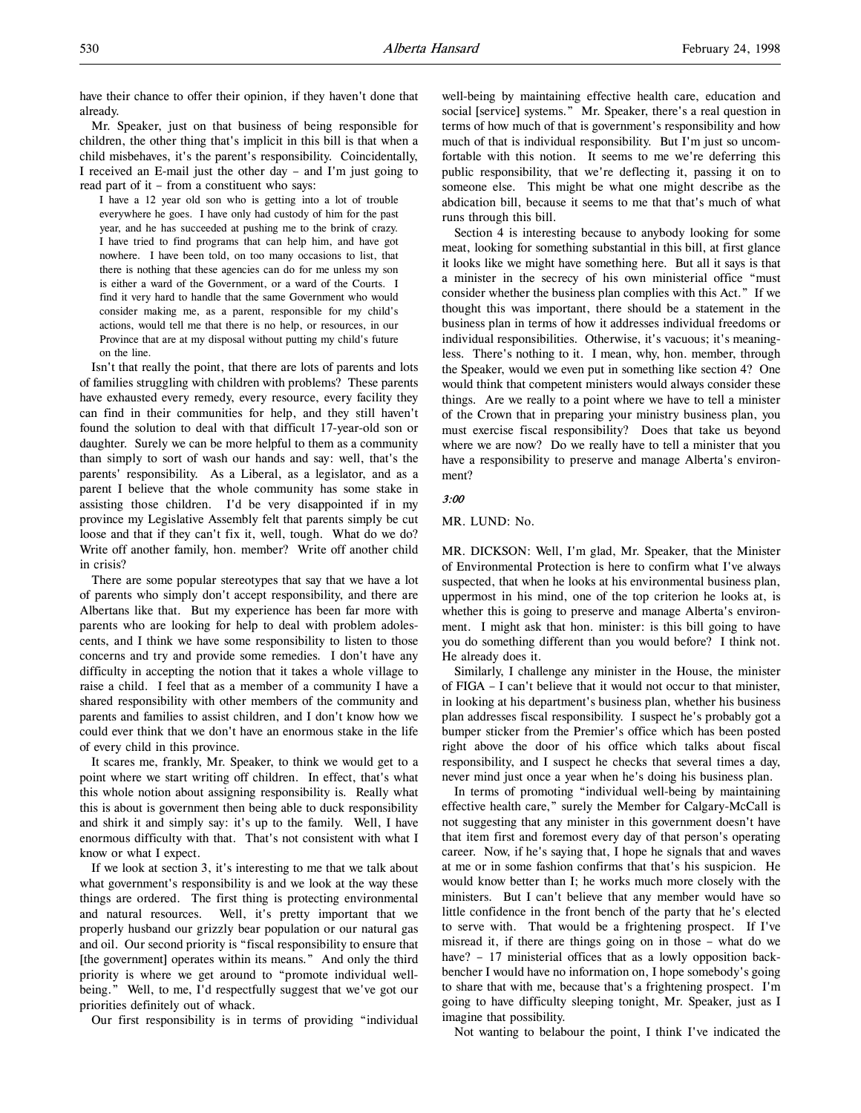have their chance to offer their opinion, if they haven't done that already.

Mr. Speaker, just on that business of being responsible for children, the other thing that's implicit in this bill is that when a child misbehaves, it's the parent's responsibility. Coincidentally, I received an E-mail just the other day – and I'm just going to read part of it – from a constituent who says:

I have a 12 year old son who is getting into a lot of trouble everywhere he goes. I have only had custody of him for the past year, and he has succeeded at pushing me to the brink of crazy. I have tried to find programs that can help him, and have got nowhere. I have been told, on too many occasions to list, that there is nothing that these agencies can do for me unless my son is either a ward of the Government, or a ward of the Courts. I find it very hard to handle that the same Government who would consider making me, as a parent, responsible for my child's actions, would tell me that there is no help, or resources, in our Province that are at my disposal without putting my child's future on the line.

Isn't that really the point, that there are lots of parents and lots of families struggling with children with problems? These parents have exhausted every remedy, every resource, every facility they can find in their communities for help, and they still haven't found the solution to deal with that difficult 17-year-old son or daughter. Surely we can be more helpful to them as a community than simply to sort of wash our hands and say: well, that's the parents' responsibility. As a Liberal, as a legislator, and as a parent I believe that the whole community has some stake in assisting those children. I'd be very disappointed if in my province my Legislative Assembly felt that parents simply be cut loose and that if they can't fix it, well, tough. What do we do? Write off another family, hon. member? Write off another child in crisis?

There are some popular stereotypes that say that we have a lot of parents who simply don't accept responsibility, and there are Albertans like that. But my experience has been far more with parents who are looking for help to deal with problem adolescents, and I think we have some responsibility to listen to those concerns and try and provide some remedies. I don't have any difficulty in accepting the notion that it takes a whole village to raise a child. I feel that as a member of a community I have a shared responsibility with other members of the community and parents and families to assist children, and I don't know how we could ever think that we don't have an enormous stake in the life of every child in this province.

It scares me, frankly, Mr. Speaker, to think we would get to a point where we start writing off children. In effect, that's what this whole notion about assigning responsibility is. Really what this is about is government then being able to duck responsibility and shirk it and simply say: it's up to the family. Well, I have enormous difficulty with that. That's not consistent with what I know or what I expect.

If we look at section 3, it's interesting to me that we talk about what government's responsibility is and we look at the way these things are ordered. The first thing is protecting environmental and natural resources. Well, it's pretty important that we properly husband our grizzly bear population or our natural gas and oil. Our second priority is "fiscal responsibility to ensure that [the government] operates within its means." And only the third priority is where we get around to "promote individual wellbeing." Well, to me, I'd respectfully suggest that we've got our priorities definitely out of whack.

Our first responsibility is in terms of providing "individual

well-being by maintaining effective health care, education and social [service] systems." Mr. Speaker, there's a real question in terms of how much of that is government's responsibility and how much of that is individual responsibility. But I'm just so uncomfortable with this notion. It seems to me we're deferring this public responsibility, that we're deflecting it, passing it on to someone else. This might be what one might describe as the abdication bill, because it seems to me that that's much of what runs through this bill.

Section 4 is interesting because to anybody looking for some meat, looking for something substantial in this bill, at first glance it looks like we might have something here. But all it says is that a minister in the secrecy of his own ministerial office "must consider whether the business plan complies with this Act." If we thought this was important, there should be a statement in the business plan in terms of how it addresses individual freedoms or individual responsibilities. Otherwise, it's vacuous; it's meaningless. There's nothing to it. I mean, why, hon. member, through the Speaker, would we even put in something like section 4? One would think that competent ministers would always consider these things. Are we really to a point where we have to tell a minister of the Crown that in preparing your ministry business plan, you must exercise fiscal responsibility? Does that take us beyond where we are now? Do we really have to tell a minister that you have a responsibility to preserve and manage Alberta's environment?

#### 3:00

MR. LUND: No.

MR. DICKSON: Well, I'm glad, Mr. Speaker, that the Minister of Environmental Protection is here to confirm what I've always suspected, that when he looks at his environmental business plan, uppermost in his mind, one of the top criterion he looks at, is whether this is going to preserve and manage Alberta's environment. I might ask that hon. minister: is this bill going to have you do something different than you would before? I think not. He already does it.

Similarly, I challenge any minister in the House, the minister of FIGA – I can't believe that it would not occur to that minister, in looking at his department's business plan, whether his business plan addresses fiscal responsibility. I suspect he's probably got a bumper sticker from the Premier's office which has been posted right above the door of his office which talks about fiscal responsibility, and I suspect he checks that several times a day, never mind just once a year when he's doing his business plan.

In terms of promoting "individual well-being by maintaining effective health care," surely the Member for Calgary-McCall is not suggesting that any minister in this government doesn't have that item first and foremost every day of that person's operating career. Now, if he's saying that, I hope he signals that and waves at me or in some fashion confirms that that's his suspicion. He would know better than I; he works much more closely with the ministers. But I can't believe that any member would have so little confidence in the front bench of the party that he's elected to serve with. That would be a frightening prospect. If I've misread it, if there are things going on in those – what do we have? - 17 ministerial offices that as a lowly opposition backbencher I would have no information on, I hope somebody's going to share that with me, because that's a frightening prospect. I'm going to have difficulty sleeping tonight, Mr. Speaker, just as I imagine that possibility.

Not wanting to belabour the point, I think I've indicated the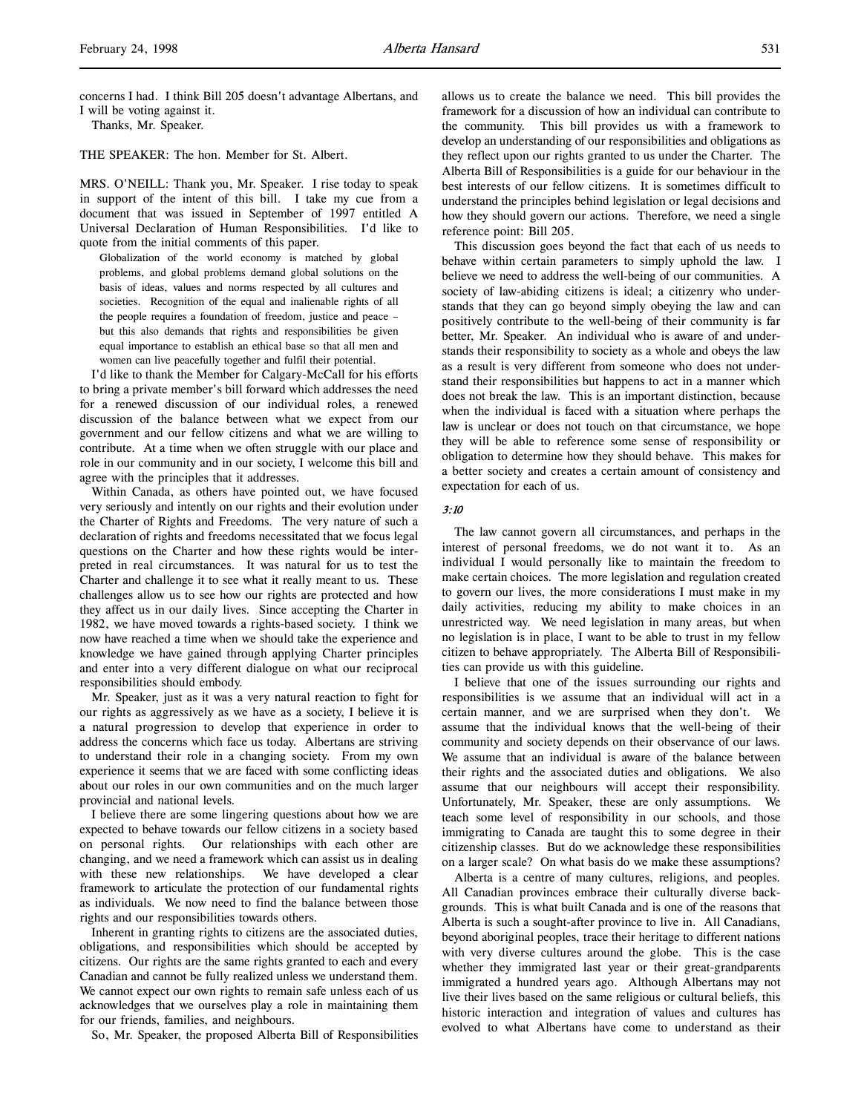concerns I had. I think Bill 205 doesn't advantage Albertans, and I will be voting against it.

Thanks, Mr. Speaker.

THE SPEAKER: The hon. Member for St. Albert.

MRS. O'NEILL: Thank you, Mr. Speaker. I rise today to speak in support of the intent of this bill. I take my cue from a document that was issued in September of 1997 entitled A Universal Declaration of Human Responsibilities. I'd like to quote from the initial comments of this paper.

Globalization of the world economy is matched by global problems, and global problems demand global solutions on the basis of ideas, values and norms respected by all cultures and societies. Recognition of the equal and inalienable rights of all the people requires a foundation of freedom, justice and peace – but this also demands that rights and responsibilities be given equal importance to establish an ethical base so that all men and women can live peacefully together and fulfil their potential.

I'd like to thank the Member for Calgary-McCall for his efforts to bring a private member's bill forward which addresses the need for a renewed discussion of our individual roles, a renewed discussion of the balance between what we expect from our government and our fellow citizens and what we are willing to contribute. At a time when we often struggle with our place and role in our community and in our society, I welcome this bill and agree with the principles that it addresses.

Within Canada, as others have pointed out, we have focused very seriously and intently on our rights and their evolution under the Charter of Rights and Freedoms. The very nature of such a declaration of rights and freedoms necessitated that we focus legal questions on the Charter and how these rights would be interpreted in real circumstances. It was natural for us to test the Charter and challenge it to see what it really meant to us. These challenges allow us to see how our rights are protected and how they affect us in our daily lives. Since accepting the Charter in 1982, we have moved towards a rights-based society. I think we now have reached a time when we should take the experience and knowledge we have gained through applying Charter principles and enter into a very different dialogue on what our reciprocal responsibilities should embody.

Mr. Speaker, just as it was a very natural reaction to fight for our rights as aggressively as we have as a society, I believe it is a natural progression to develop that experience in order to address the concerns which face us today. Albertans are striving to understand their role in a changing society. From my own experience it seems that we are faced with some conflicting ideas about our roles in our own communities and on the much larger provincial and national levels.

I believe there are some lingering questions about how we are expected to behave towards our fellow citizens in a society based on personal rights. Our relationships with each other are changing, and we need a framework which can assist us in dealing with these new relationships. We have developed a clear framework to articulate the protection of our fundamental rights as individuals. We now need to find the balance between those rights and our responsibilities towards others.

Inherent in granting rights to citizens are the associated duties, obligations, and responsibilities which should be accepted by citizens. Our rights are the same rights granted to each and every Canadian and cannot be fully realized unless we understand them. We cannot expect our own rights to remain safe unless each of us acknowledges that we ourselves play a role in maintaining them for our friends, families, and neighbours.

So, Mr. Speaker, the proposed Alberta Bill of Responsibilities

allows us to create the balance we need. This bill provides the framework for a discussion of how an individual can contribute to the community. This bill provides us with a framework to develop an understanding of our responsibilities and obligations as they reflect upon our rights granted to us under the Charter. The Alberta Bill of Responsibilities is a guide for our behaviour in the best interests of our fellow citizens. It is sometimes difficult to understand the principles behind legislation or legal decisions and how they should govern our actions. Therefore, we need a single reference point: Bill 205.

This discussion goes beyond the fact that each of us needs to behave within certain parameters to simply uphold the law. I believe we need to address the well-being of our communities. A society of law-abiding citizens is ideal; a citizenry who understands that they can go beyond simply obeying the law and can positively contribute to the well-being of their community is far better, Mr. Speaker. An individual who is aware of and understands their responsibility to society as a whole and obeys the law as a result is very different from someone who does not understand their responsibilities but happens to act in a manner which does not break the law. This is an important distinction, because when the individual is faced with a situation where perhaps the law is unclear or does not touch on that circumstance, we hope they will be able to reference some sense of responsibility or obligation to determine how they should behave. This makes for a better society and creates a certain amount of consistency and expectation for each of us.

# 3:10

The law cannot govern all circumstances, and perhaps in the interest of personal freedoms, we do not want it to. As an individual I would personally like to maintain the freedom to make certain choices. The more legislation and regulation created to govern our lives, the more considerations I must make in my daily activities, reducing my ability to make choices in an unrestricted way. We need legislation in many areas, but when no legislation is in place, I want to be able to trust in my fellow citizen to behave appropriately. The Alberta Bill of Responsibilities can provide us with this guideline.

I believe that one of the issues surrounding our rights and responsibilities is we assume that an individual will act in a certain manner, and we are surprised when they don't. We assume that the individual knows that the well-being of their community and society depends on their observance of our laws. We assume that an individual is aware of the balance between their rights and the associated duties and obligations. We also assume that our neighbours will accept their responsibility. Unfortunately, Mr. Speaker, these are only assumptions. We teach some level of responsibility in our schools, and those immigrating to Canada are taught this to some degree in their citizenship classes. But do we acknowledge these responsibilities on a larger scale? On what basis do we make these assumptions?

Alberta is a centre of many cultures, religions, and peoples. All Canadian provinces embrace their culturally diverse backgrounds. This is what built Canada and is one of the reasons that Alberta is such a sought-after province to live in. All Canadians, beyond aboriginal peoples, trace their heritage to different nations with very diverse cultures around the globe. This is the case whether they immigrated last year or their great-grandparents immigrated a hundred years ago. Although Albertans may not live their lives based on the same religious or cultural beliefs, this historic interaction and integration of values and cultures has evolved to what Albertans have come to understand as their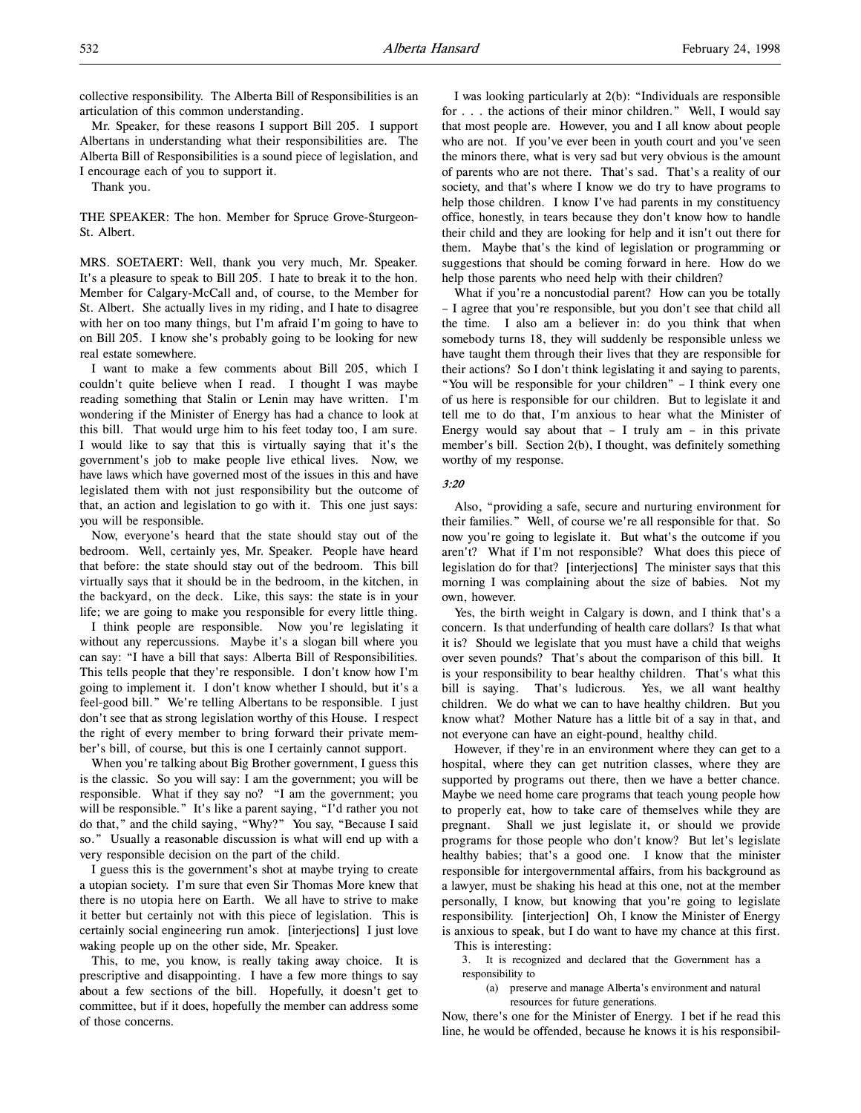collective responsibility. The Alberta Bill of Responsibilities is an articulation of this common understanding.

Mr. Speaker, for these reasons I support Bill 205. I support Albertans in understanding what their responsibilities are. The Alberta Bill of Responsibilities is a sound piece of legislation, and I encourage each of you to support it.

Thank you.

THE SPEAKER: The hon. Member for Spruce Grove-Sturgeon-St. Albert.

MRS. SOETAERT: Well, thank you very much, Mr. Speaker. It's a pleasure to speak to Bill 205. I hate to break it to the hon. Member for Calgary-McCall and, of course, to the Member for St. Albert. She actually lives in my riding, and I hate to disagree with her on too many things, but I'm afraid I'm going to have to on Bill 205. I know she's probably going to be looking for new real estate somewhere.

I want to make a few comments about Bill 205, which I couldn't quite believe when I read. I thought I was maybe reading something that Stalin or Lenin may have written. I'm wondering if the Minister of Energy has had a chance to look at this bill. That would urge him to his feet today too, I am sure. I would like to say that this is virtually saying that it's the government's job to make people live ethical lives. Now, we have laws which have governed most of the issues in this and have legislated them with not just responsibility but the outcome of that, an action and legislation to go with it. This one just says: you will be responsible.

Now, everyone's heard that the state should stay out of the bedroom. Well, certainly yes, Mr. Speaker. People have heard that before: the state should stay out of the bedroom. This bill virtually says that it should be in the bedroom, in the kitchen, in the backyard, on the deck. Like, this says: the state is in your life; we are going to make you responsible for every little thing.

I think people are responsible. Now you're legislating it without any repercussions. Maybe it's a slogan bill where you can say: "I have a bill that says: Alberta Bill of Responsibilities. This tells people that they're responsible. I don't know how I'm going to implement it. I don't know whether I should, but it's a feel-good bill." We're telling Albertans to be responsible. I just don't see that as strong legislation worthy of this House. I respect the right of every member to bring forward their private member's bill, of course, but this is one I certainly cannot support.

When you're talking about Big Brother government, I guess this is the classic. So you will say: I am the government; you will be responsible. What if they say no? "I am the government; you will be responsible." It's like a parent saying, "I'd rather you not do that," and the child saying, "Why?" You say, "Because I said so." Usually a reasonable discussion is what will end up with a very responsible decision on the part of the child.

I guess this is the government's shot at maybe trying to create a utopian society. I'm sure that even Sir Thomas More knew that there is no utopia here on Earth. We all have to strive to make it better but certainly not with this piece of legislation. This is certainly social engineering run amok. [interjections] I just love waking people up on the other side, Mr. Speaker.

This, to me, you know, is really taking away choice. It is prescriptive and disappointing. I have a few more things to say about a few sections of the bill. Hopefully, it doesn't get to committee, but if it does, hopefully the member can address some of those concerns.

I was looking particularly at 2(b): "Individuals are responsible for . . . the actions of their minor children." Well, I would say that most people are. However, you and I all know about people who are not. If you've ever been in youth court and you've seen the minors there, what is very sad but very obvious is the amount of parents who are not there. That's sad. That's a reality of our society, and that's where I know we do try to have programs to help those children. I know I've had parents in my constituency office, honestly, in tears because they don't know how to handle their child and they are looking for help and it isn't out there for them. Maybe that's the kind of legislation or programming or suggestions that should be coming forward in here. How do we help those parents who need help with their children?

What if you're a noncustodial parent? How can you be totally – I agree that you're responsible, but you don't see that child all the time. I also am a believer in: do you think that when somebody turns 18, they will suddenly be responsible unless we have taught them through their lives that they are responsible for their actions? So I don't think legislating it and saying to parents, "You will be responsible for your children" – I think every one of us here is responsible for our children. But to legislate it and tell me to do that, I'm anxious to hear what the Minister of Energy would say about that  $-$  I truly am  $-$  in this private member's bill. Section 2(b), I thought, was definitely something worthy of my response.

# 3:20

Also, "providing a safe, secure and nurturing environment for their families." Well, of course we're all responsible for that. So now you're going to legislate it. But what's the outcome if you aren't? What if I'm not responsible? What does this piece of legislation do for that? [interjections] The minister says that this morning I was complaining about the size of babies. Not my own, however.

Yes, the birth weight in Calgary is down, and I think that's a concern. Is that underfunding of health care dollars? Is that what it is? Should we legislate that you must have a child that weighs over seven pounds? That's about the comparison of this bill. It is your responsibility to bear healthy children. That's what this bill is saying. That's ludicrous. Yes, we all want healthy children. We do what we can to have healthy children. But you know what? Mother Nature has a little bit of a say in that, and not everyone can have an eight-pound, healthy child.

However, if they're in an environment where they can get to a hospital, where they can get nutrition classes, where they are supported by programs out there, then we have a better chance. Maybe we need home care programs that teach young people how to properly eat, how to take care of themselves while they are pregnant. Shall we just legislate it, or should we provide programs for those people who don't know? But let's legislate healthy babies; that's a good one. I know that the minister responsible for intergovernmental affairs, from his background as a lawyer, must be shaking his head at this one, not at the member personally, I know, but knowing that you're going to legislate responsibility. [interjection] Oh, I know the Minister of Energy is anxious to speak, but I do want to have my chance at this first.

This is interesting:

3. It is recognized and declared that the Government has a responsibility to

(a) preserve and manage Alberta's environment and natural resources for future generations.

Now, there's one for the Minister of Energy. I bet if he read this line, he would be offended, because he knows it is his responsibil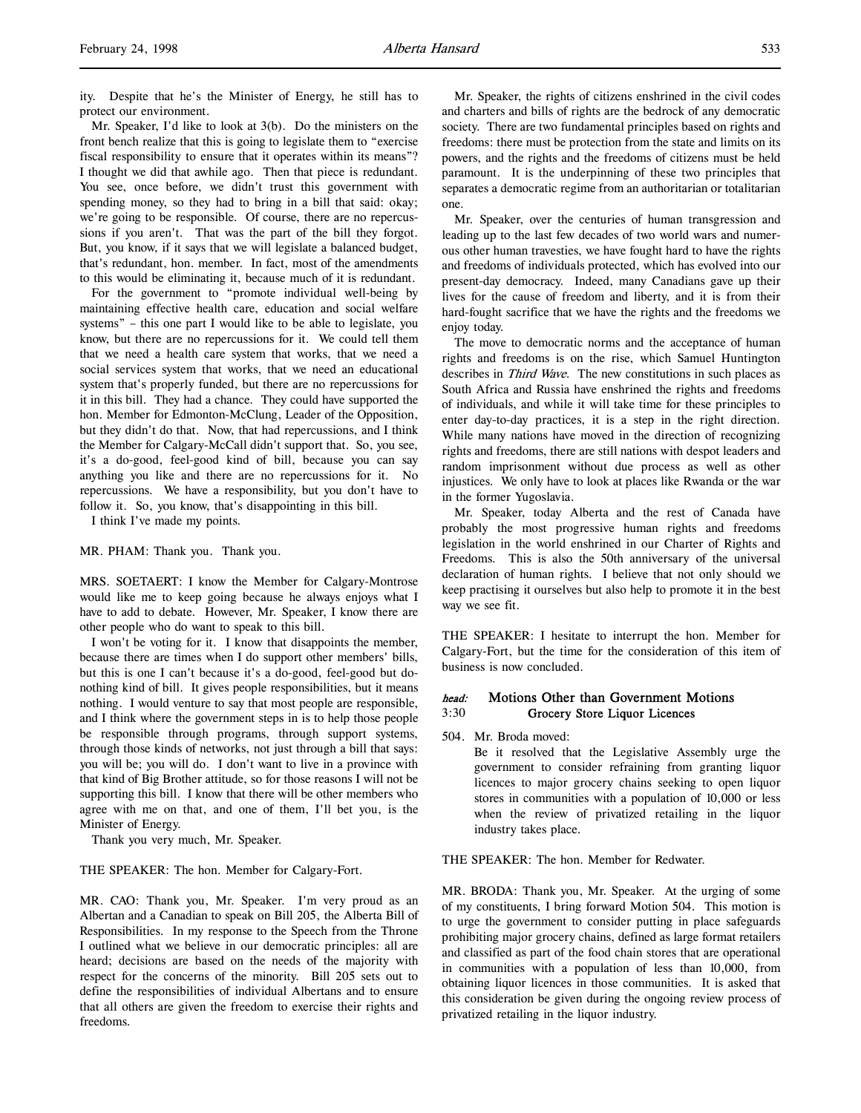ity. Despite that he's the Minister of Energy, he still has to protect our environment.

Mr. Speaker, I'd like to look at 3(b). Do the ministers on the front bench realize that this is going to legislate them to "exercise fiscal responsibility to ensure that it operates within its means"? I thought we did that awhile ago. Then that piece is redundant. You see, once before, we didn't trust this government with spending money, so they had to bring in a bill that said: okay; we're going to be responsible. Of course, there are no repercussions if you aren't. That was the part of the bill they forgot. But, you know, if it says that we will legislate a balanced budget, that's redundant, hon. member. In fact, most of the amendments to this would be eliminating it, because much of it is redundant.

For the government to "promote individual well-being by maintaining effective health care, education and social welfare systems" – this one part I would like to be able to legislate, you know, but there are no repercussions for it. We could tell them that we need a health care system that works, that we need a social services system that works, that we need an educational system that's properly funded, but there are no repercussions for it in this bill. They had a chance. They could have supported the hon. Member for Edmonton-McClung, Leader of the Opposition, but they didn't do that. Now, that had repercussions, and I think the Member for Calgary-McCall didn't support that. So, you see, it's a do-good, feel-good kind of bill, because you can say anything you like and there are no repercussions for it. No repercussions. We have a responsibility, but you don't have to follow it. So, you know, that's disappointing in this bill.

I think I've made my points.

MR. PHAM: Thank you. Thank you.

MRS. SOETAERT: I know the Member for Calgary-Montrose would like me to keep going because he always enjoys what I have to add to debate. However, Mr. Speaker, I know there are other people who do want to speak to this bill.

I won't be voting for it. I know that disappoints the member, because there are times when I do support other members' bills, but this is one I can't because it's a do-good, feel-good but donothing kind of bill. It gives people responsibilities, but it means nothing. I would venture to say that most people are responsible, and I think where the government steps in is to help those people be responsible through programs, through support systems, through those kinds of networks, not just through a bill that says: you will be; you will do. I don't want to live in a province with that kind of Big Brother attitude, so for those reasons I will not be supporting this bill. I know that there will be other members who agree with me on that, and one of them, I'll bet you, is the Minister of Energy.

Thank you very much, Mr. Speaker.

#### THE SPEAKER: The hon. Member for Calgary-Fort.

MR. CAO: Thank you, Mr. Speaker. I'm very proud as an Albertan and a Canadian to speak on Bill 205, the Alberta Bill of Responsibilities. In my response to the Speech from the Throne I outlined what we believe in our democratic principles: all are heard; decisions are based on the needs of the majority with respect for the concerns of the minority. Bill 205 sets out to define the responsibilities of individual Albertans and to ensure that all others are given the freedom to exercise their rights and freedoms.

Mr. Speaker, the rights of citizens enshrined in the civil codes and charters and bills of rights are the bedrock of any democratic society. There are two fundamental principles based on rights and freedoms: there must be protection from the state and limits on its powers, and the rights and the freedoms of citizens must be held paramount. It is the underpinning of these two principles that separates a democratic regime from an authoritarian or totalitarian one.

Mr. Speaker, over the centuries of human transgression and leading up to the last few decades of two world wars and numerous other human travesties, we have fought hard to have the rights and freedoms of individuals protected, which has evolved into our present-day democracy. Indeed, many Canadians gave up their lives for the cause of freedom and liberty, and it is from their hard-fought sacrifice that we have the rights and the freedoms we enjoy today.

The move to democratic norms and the acceptance of human rights and freedoms is on the rise, which Samuel Huntington describes in Third Wave. The new constitutions in such places as South Africa and Russia have enshrined the rights and freedoms of individuals, and while it will take time for these principles to enter day-to-day practices, it is a step in the right direction. While many nations have moved in the direction of recognizing rights and freedoms, there are still nations with despot leaders and random imprisonment without due process as well as other injustices. We only have to look at places like Rwanda or the war in the former Yugoslavia.

Mr. Speaker, today Alberta and the rest of Canada have probably the most progressive human rights and freedoms legislation in the world enshrined in our Charter of Rights and Freedoms. This is also the 50th anniversary of the universal declaration of human rights. I believe that not only should we keep practising it ourselves but also help to promote it in the best way we see fit.

THE SPEAKER: I hesitate to interrupt the hon. Member for Calgary-Fort, but the time for the consideration of this item of business is now concluded.

# head: Motions Other than Government Motions 3:30 Grocery Store Liquor Licences

504. Mr. Broda moved:

Be it resolved that the Legislative Assembly urge the government to consider refraining from granting liquor licences to major grocery chains seeking to open liquor stores in communities with a population of 10,000 or less when the review of privatized retailing in the liquor industry takes place.

THE SPEAKER: The hon. Member for Redwater.

MR. BRODA: Thank you, Mr. Speaker. At the urging of some of my constituents, I bring forward Motion 504. This motion is to urge the government to consider putting in place safeguards prohibiting major grocery chains, defined as large format retailers and classified as part of the food chain stores that are operational in communities with a population of less than 10,000, from obtaining liquor licences in those communities. It is asked that this consideration be given during the ongoing review process of privatized retailing in the liquor industry.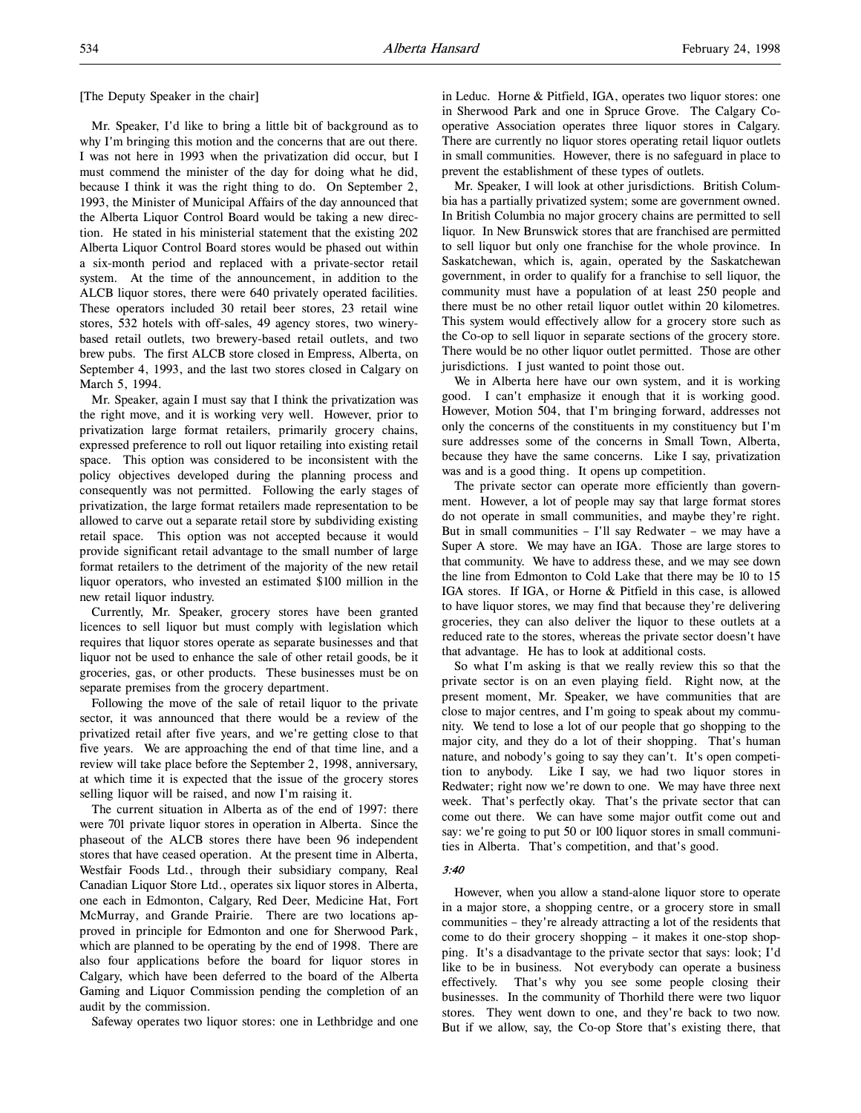[The Deputy Speaker in the chair]

Mr. Speaker, I'd like to bring a little bit of background as to why I'm bringing this motion and the concerns that are out there. I was not here in 1993 when the privatization did occur, but I must commend the minister of the day for doing what he did, because I think it was the right thing to do. On September 2, 1993, the Minister of Municipal Affairs of the day announced that the Alberta Liquor Control Board would be taking a new direction. He stated in his ministerial statement that the existing 202 Alberta Liquor Control Board stores would be phased out within a six-month period and replaced with a private-sector retail system. At the time of the announcement, in addition to the ALCB liquor stores, there were 640 privately operated facilities. These operators included 30 retail beer stores, 23 retail wine stores, 532 hotels with off-sales, 49 agency stores, two winerybased retail outlets, two brewery-based retail outlets, and two brew pubs. The first ALCB store closed in Empress, Alberta, on September 4, 1993, and the last two stores closed in Calgary on March 5, 1994.

Mr. Speaker, again I must say that I think the privatization was the right move, and it is working very well. However, prior to privatization large format retailers, primarily grocery chains, expressed preference to roll out liquor retailing into existing retail space. This option was considered to be inconsistent with the policy objectives developed during the planning process and consequently was not permitted. Following the early stages of privatization, the large format retailers made representation to be allowed to carve out a separate retail store by subdividing existing retail space. This option was not accepted because it would provide significant retail advantage to the small number of large format retailers to the detriment of the majority of the new retail liquor operators, who invested an estimated \$100 million in the new retail liquor industry.

Currently, Mr. Speaker, grocery stores have been granted licences to sell liquor but must comply with legislation which requires that liquor stores operate as separate businesses and that liquor not be used to enhance the sale of other retail goods, be it groceries, gas, or other products. These businesses must be on separate premises from the grocery department.

Following the move of the sale of retail liquor to the private sector, it was announced that there would be a review of the privatized retail after five years, and we're getting close to that five years. We are approaching the end of that time line, and a review will take place before the September 2, 1998, anniversary, at which time it is expected that the issue of the grocery stores selling liquor will be raised, and now I'm raising it.

The current situation in Alberta as of the end of 1997: there were 701 private liquor stores in operation in Alberta. Since the phaseout of the ALCB stores there have been 96 independent stores that have ceased operation. At the present time in Alberta, Westfair Foods Ltd., through their subsidiary company, Real Canadian Liquor Store Ltd., operates six liquor stores in Alberta, one each in Edmonton, Calgary, Red Deer, Medicine Hat, Fort McMurray, and Grande Prairie. There are two locations approved in principle for Edmonton and one for Sherwood Park, which are planned to be operating by the end of 1998. There are also four applications before the board for liquor stores in Calgary, which have been deferred to the board of the Alberta Gaming and Liquor Commission pending the completion of an audit by the commission.

Safeway operates two liquor stores: one in Lethbridge and one

in Leduc. Horne & Pitfield, IGA, operates two liquor stores: one in Sherwood Park and one in Spruce Grove. The Calgary Cooperative Association operates three liquor stores in Calgary. There are currently no liquor stores operating retail liquor outlets in small communities. However, there is no safeguard in place to prevent the establishment of these types of outlets.

Mr. Speaker, I will look at other jurisdictions. British Columbia has a partially privatized system; some are government owned. In British Columbia no major grocery chains are permitted to sell liquor. In New Brunswick stores that are franchised are permitted to sell liquor but only one franchise for the whole province. In Saskatchewan, which is, again, operated by the Saskatchewan government, in order to qualify for a franchise to sell liquor, the community must have a population of at least 250 people and there must be no other retail liquor outlet within 20 kilometres. This system would effectively allow for a grocery store such as the Co-op to sell liquor in separate sections of the grocery store. There would be no other liquor outlet permitted. Those are other jurisdictions. I just wanted to point those out.

We in Alberta here have our own system, and it is working good. I can't emphasize it enough that it is working good. However, Motion 504, that I'm bringing forward, addresses not only the concerns of the constituents in my constituency but I'm sure addresses some of the concerns in Small Town, Alberta, because they have the same concerns. Like I say, privatization was and is a good thing. It opens up competition.

The private sector can operate more efficiently than government. However, a lot of people may say that large format stores do not operate in small communities, and maybe they're right. But in small communities – I'll say Redwater – we may have a Super A store. We may have an IGA. Those are large stores to that community. We have to address these, and we may see down the line from Edmonton to Cold Lake that there may be 10 to 15 IGA stores. If IGA, or Horne & Pitfield in this case, is allowed to have liquor stores, we may find that because they're delivering groceries, they can also deliver the liquor to these outlets at a reduced rate to the stores, whereas the private sector doesn't have that advantage. He has to look at additional costs.

So what I'm asking is that we really review this so that the private sector is on an even playing field. Right now, at the present moment, Mr. Speaker, we have communities that are close to major centres, and I'm going to speak about my community. We tend to lose a lot of our people that go shopping to the major city, and they do a lot of their shopping. That's human nature, and nobody's going to say they can't. It's open competition to anybody. Like I say, we had two liquor stores in Redwater; right now we're down to one. We may have three next week. That's perfectly okay. That's the private sector that can come out there. We can have some major outfit come out and say: we're going to put 50 or 100 liquor stores in small communities in Alberta. That's competition, and that's good.

#### 3:40

However, when you allow a stand-alone liquor store to operate in a major store, a shopping centre, or a grocery store in small communities – they're already attracting a lot of the residents that come to do their grocery shopping – it makes it one-stop shopping. It's a disadvantage to the private sector that says: look; I'd like to be in business. Not everybody can operate a business effectively. That's why you see some people closing their businesses. In the community of Thorhild there were two liquor stores. They went down to one, and they're back to two now. But if we allow, say, the Co-op Store that's existing there, that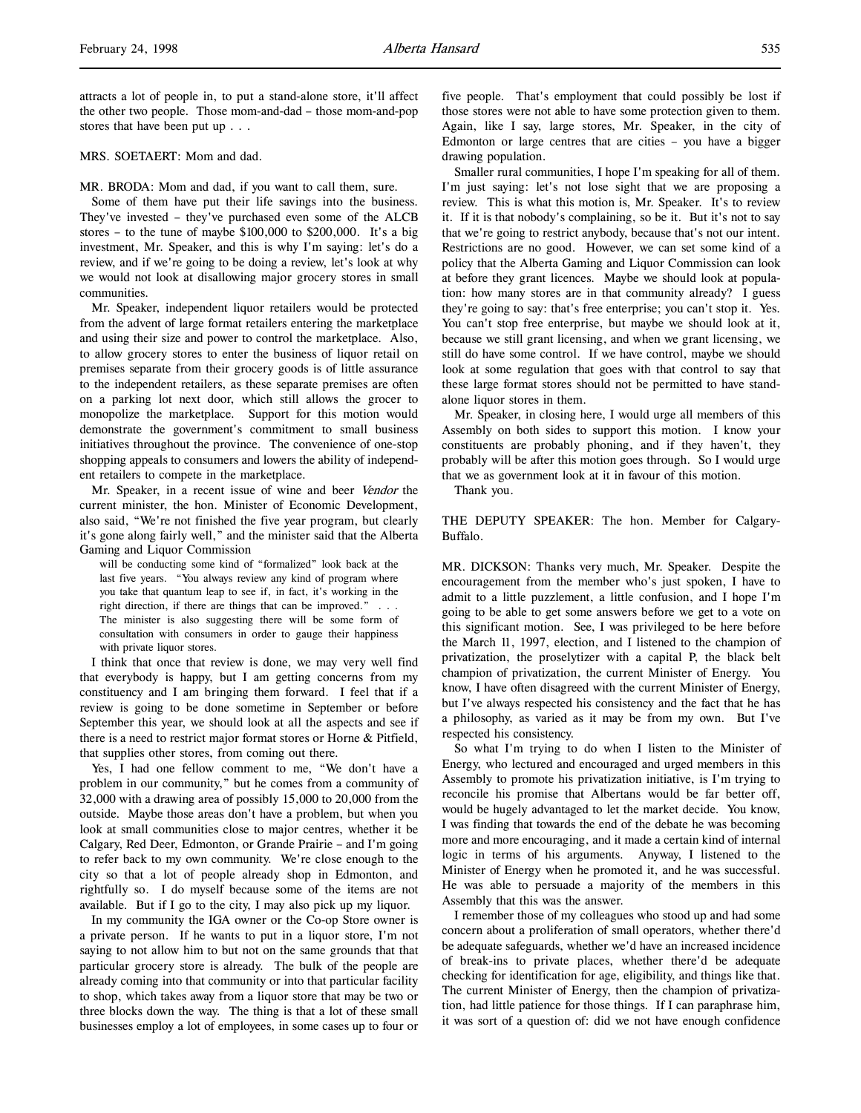attracts a lot of people in, to put a stand-alone store, it'll affect the other two people. Those mom-and-dad – those mom-and-pop stores that have been put up . . .

MRS. SOETAERT: Mom and dad.

MR. BRODA: Mom and dad, if you want to call them, sure.

Some of them have put their life savings into the business. They've invested – they've purchased even some of the ALCB stores – to the tune of maybe \$100,000 to \$200,000. It's a big investment, Mr. Speaker, and this is why I'm saying: let's do a review, and if we're going to be doing a review, let's look at why we would not look at disallowing major grocery stores in small communities.

Mr. Speaker, independent liquor retailers would be protected from the advent of large format retailers entering the marketplace and using their size and power to control the marketplace. Also, to allow grocery stores to enter the business of liquor retail on premises separate from their grocery goods is of little assurance to the independent retailers, as these separate premises are often on a parking lot next door, which still allows the grocer to monopolize the marketplace. Support for this motion would demonstrate the government's commitment to small business initiatives throughout the province. The convenience of one-stop shopping appeals to consumers and lowers the ability of independent retailers to compete in the marketplace.

Mr. Speaker, in a recent issue of wine and beer Vendor the current minister, the hon. Minister of Economic Development, also said, "We're not finished the five year program, but clearly it's gone along fairly well," and the minister said that the Alberta Gaming and Liquor Commission

will be conducting some kind of "formalized" look back at the last five years. "You always review any kind of program where you take that quantum leap to see if, in fact, it's working in the right direction, if there are things that can be improved." . . . The minister is also suggesting there will be some form of consultation with consumers in order to gauge their happiness with private liquor stores.

I think that once that review is done, we may very well find that everybody is happy, but I am getting concerns from my constituency and I am bringing them forward. I feel that if a review is going to be done sometime in September or before September this year, we should look at all the aspects and see if there is a need to restrict major format stores or Horne & Pitfield, that supplies other stores, from coming out there.

Yes, I had one fellow comment to me, "We don't have a problem in our community," but he comes from a community of 32,000 with a drawing area of possibly 15,000 to 20,000 from the outside. Maybe those areas don't have a problem, but when you look at small communities close to major centres, whether it be Calgary, Red Deer, Edmonton, or Grande Prairie – and I'm going to refer back to my own community. We're close enough to the city so that a lot of people already shop in Edmonton, and rightfully so. I do myself because some of the items are not available. But if I go to the city, I may also pick up my liquor.

In my community the IGA owner or the Co-op Store owner is a private person. If he wants to put in a liquor store, I'm not saying to not allow him to but not on the same grounds that that particular grocery store is already. The bulk of the people are already coming into that community or into that particular facility to shop, which takes away from a liquor store that may be two or three blocks down the way. The thing is that a lot of these small businesses employ a lot of employees, in some cases up to four or

five people. That's employment that could possibly be lost if those stores were not able to have some protection given to them. Again, like I say, large stores, Mr. Speaker, in the city of Edmonton or large centres that are cities – you have a bigger drawing population.

Smaller rural communities, I hope I'm speaking for all of them. I'm just saying: let's not lose sight that we are proposing a review. This is what this motion is, Mr. Speaker. It's to review it. If it is that nobody's complaining, so be it. But it's not to say that we're going to restrict anybody, because that's not our intent. Restrictions are no good. However, we can set some kind of a policy that the Alberta Gaming and Liquor Commission can look at before they grant licences. Maybe we should look at population: how many stores are in that community already? I guess they're going to say: that's free enterprise; you can't stop it. Yes. You can't stop free enterprise, but maybe we should look at it, because we still grant licensing, and when we grant licensing, we still do have some control. If we have control, maybe we should look at some regulation that goes with that control to say that these large format stores should not be permitted to have standalone liquor stores in them.

Mr. Speaker, in closing here, I would urge all members of this Assembly on both sides to support this motion. I know your constituents are probably phoning, and if they haven't, they probably will be after this motion goes through. So I would urge that we as government look at it in favour of this motion.

Thank you.

THE DEPUTY SPEAKER: The hon. Member for Calgary-Buffalo.

MR. DICKSON: Thanks very much, Mr. Speaker. Despite the encouragement from the member who's just spoken, I have to admit to a little puzzlement, a little confusion, and I hope I'm going to be able to get some answers before we get to a vote on this significant motion. See, I was privileged to be here before the March 11, 1997, election, and I listened to the champion of privatization, the proselytizer with a capital P, the black belt champion of privatization, the current Minister of Energy. You know, I have often disagreed with the current Minister of Energy, but I've always respected his consistency and the fact that he has a philosophy, as varied as it may be from my own. But I've respected his consistency.

So what I'm trying to do when I listen to the Minister of Energy, who lectured and encouraged and urged members in this Assembly to promote his privatization initiative, is I'm trying to reconcile his promise that Albertans would be far better off, would be hugely advantaged to let the market decide. You know, I was finding that towards the end of the debate he was becoming more and more encouraging, and it made a certain kind of internal logic in terms of his arguments. Anyway, I listened to the Minister of Energy when he promoted it, and he was successful. He was able to persuade a majority of the members in this Assembly that this was the answer.

I remember those of my colleagues who stood up and had some concern about a proliferation of small operators, whether there'd be adequate safeguards, whether we'd have an increased incidence of break-ins to private places, whether there'd be adequate checking for identification for age, eligibility, and things like that. The current Minister of Energy, then the champion of privatization, had little patience for those things. If I can paraphrase him, it was sort of a question of: did we not have enough confidence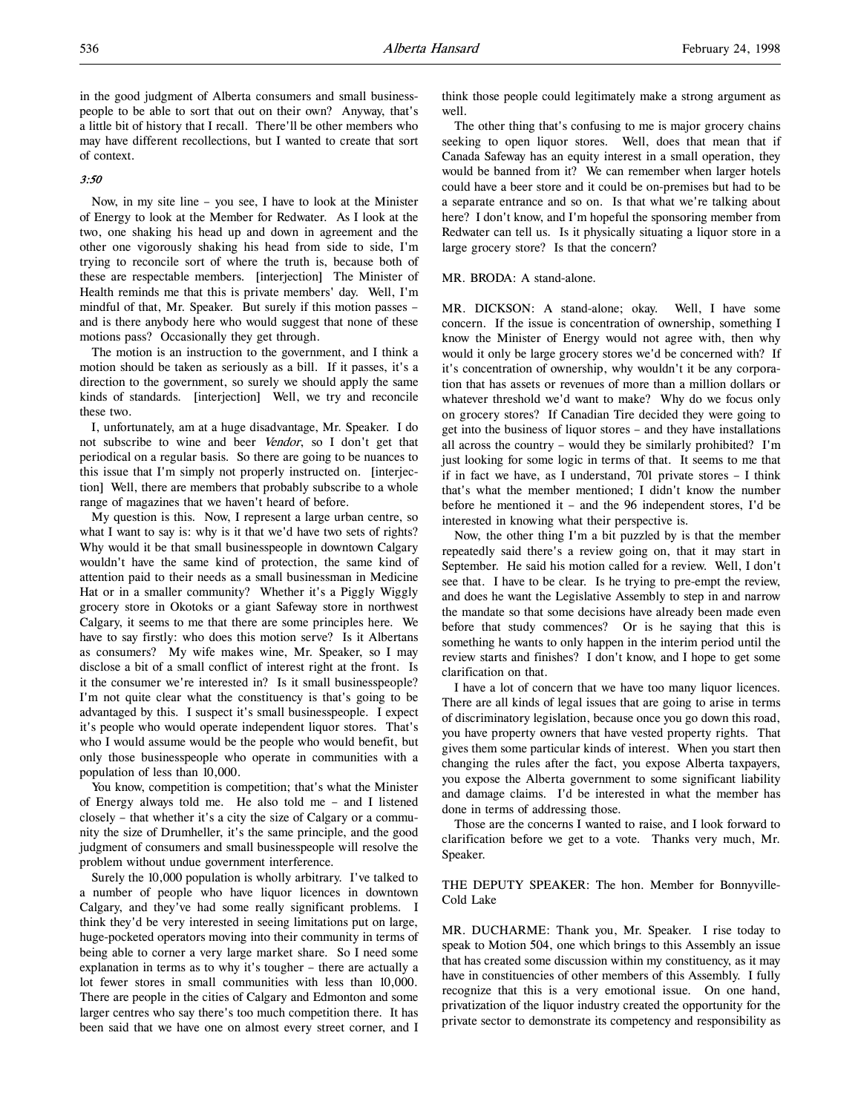in the good judgment of Alberta consumers and small businesspeople to be able to sort that out on their own? Anyway, that's a little bit of history that I recall. There'll be other members who may have different recollections, but I wanted to create that sort of context.

# 3:50

Now, in my site line – you see, I have to look at the Minister of Energy to look at the Member for Redwater. As I look at the two, one shaking his head up and down in agreement and the other one vigorously shaking his head from side to side, I'm trying to reconcile sort of where the truth is, because both of these are respectable members. [interjection] The Minister of Health reminds me that this is private members' day. Well, I'm mindful of that, Mr. Speaker. But surely if this motion passes – and is there anybody here who would suggest that none of these motions pass? Occasionally they get through.

The motion is an instruction to the government, and I think a motion should be taken as seriously as a bill. If it passes, it's a direction to the government, so surely we should apply the same kinds of standards. [interjection] Well, we try and reconcile these two.

I, unfortunately, am at a huge disadvantage, Mr. Speaker. I do not subscribe to wine and beer Vendor, so I don't get that periodical on a regular basis. So there are going to be nuances to this issue that I'm simply not properly instructed on. [interjection] Well, there are members that probably subscribe to a whole range of magazines that we haven't heard of before.

My question is this. Now, I represent a large urban centre, so what I want to say is: why is it that we'd have two sets of rights? Why would it be that small businesspeople in downtown Calgary wouldn't have the same kind of protection, the same kind of attention paid to their needs as a small businessman in Medicine Hat or in a smaller community? Whether it's a Piggly Wiggly grocery store in Okotoks or a giant Safeway store in northwest Calgary, it seems to me that there are some principles here. We have to say firstly: who does this motion serve? Is it Albertans as consumers? My wife makes wine, Mr. Speaker, so I may disclose a bit of a small conflict of interest right at the front. Is it the consumer we're interested in? Is it small businesspeople? I'm not quite clear what the constituency is that's going to be advantaged by this. I suspect it's small businesspeople. I expect it's people who would operate independent liquor stores. That's who I would assume would be the people who would benefit, but only those businesspeople who operate in communities with a population of less than 10,000.

You know, competition is competition; that's what the Minister of Energy always told me. He also told me – and I listened closely – that whether it's a city the size of Calgary or a community the size of Drumheller, it's the same principle, and the good judgment of consumers and small businesspeople will resolve the problem without undue government interference.

Surely the 10,000 population is wholly arbitrary. I've talked to a number of people who have liquor licences in downtown Calgary, and they've had some really significant problems. I think they'd be very interested in seeing limitations put on large, huge-pocketed operators moving into their community in terms of being able to corner a very large market share. So I need some explanation in terms as to why it's tougher – there are actually a lot fewer stores in small communities with less than 10,000. There are people in the cities of Calgary and Edmonton and some larger centres who say there's too much competition there. It has been said that we have one on almost every street corner, and I

think those people could legitimately make a strong argument as well.

The other thing that's confusing to me is major grocery chains seeking to open liquor stores. Well, does that mean that if Canada Safeway has an equity interest in a small operation, they would be banned from it? We can remember when larger hotels could have a beer store and it could be on-premises but had to be a separate entrance and so on. Is that what we're talking about here? I don't know, and I'm hopeful the sponsoring member from Redwater can tell us. Is it physically situating a liquor store in a large grocery store? Is that the concern?

#### MR. BRODA: A stand-alone.

MR. DICKSON: A stand-alone; okay. Well, I have some concern. If the issue is concentration of ownership, something I know the Minister of Energy would not agree with, then why would it only be large grocery stores we'd be concerned with? If it's concentration of ownership, why wouldn't it be any corporation that has assets or revenues of more than a million dollars or whatever threshold we'd want to make? Why do we focus only on grocery stores? If Canadian Tire decided they were going to get into the business of liquor stores – and they have installations all across the country – would they be similarly prohibited? I'm just looking for some logic in terms of that. It seems to me that if in fact we have, as I understand, 701 private stores – I think that's what the member mentioned; I didn't know the number before he mentioned it – and the 96 independent stores, I'd be interested in knowing what their perspective is.

Now, the other thing I'm a bit puzzled by is that the member repeatedly said there's a review going on, that it may start in September. He said his motion called for a review. Well, I don't see that. I have to be clear. Is he trying to pre-empt the review, and does he want the Legislative Assembly to step in and narrow the mandate so that some decisions have already been made even before that study commences? Or is he saying that this is something he wants to only happen in the interim period until the review starts and finishes? I don't know, and I hope to get some clarification on that.

I have a lot of concern that we have too many liquor licences. There are all kinds of legal issues that are going to arise in terms of discriminatory legislation, because once you go down this road, you have property owners that have vested property rights. That gives them some particular kinds of interest. When you start then changing the rules after the fact, you expose Alberta taxpayers, you expose the Alberta government to some significant liability and damage claims. I'd be interested in what the member has done in terms of addressing those.

Those are the concerns I wanted to raise, and I look forward to clarification before we get to a vote. Thanks very much, Mr. Speaker.

THE DEPUTY SPEAKER: The hon. Member for Bonnyville-Cold Lake

MR. DUCHARME: Thank you, Mr. Speaker. I rise today to speak to Motion 504, one which brings to this Assembly an issue that has created some discussion within my constituency, as it may have in constituencies of other members of this Assembly. I fully recognize that this is a very emotional issue. On one hand, privatization of the liquor industry created the opportunity for the private sector to demonstrate its competency and responsibility as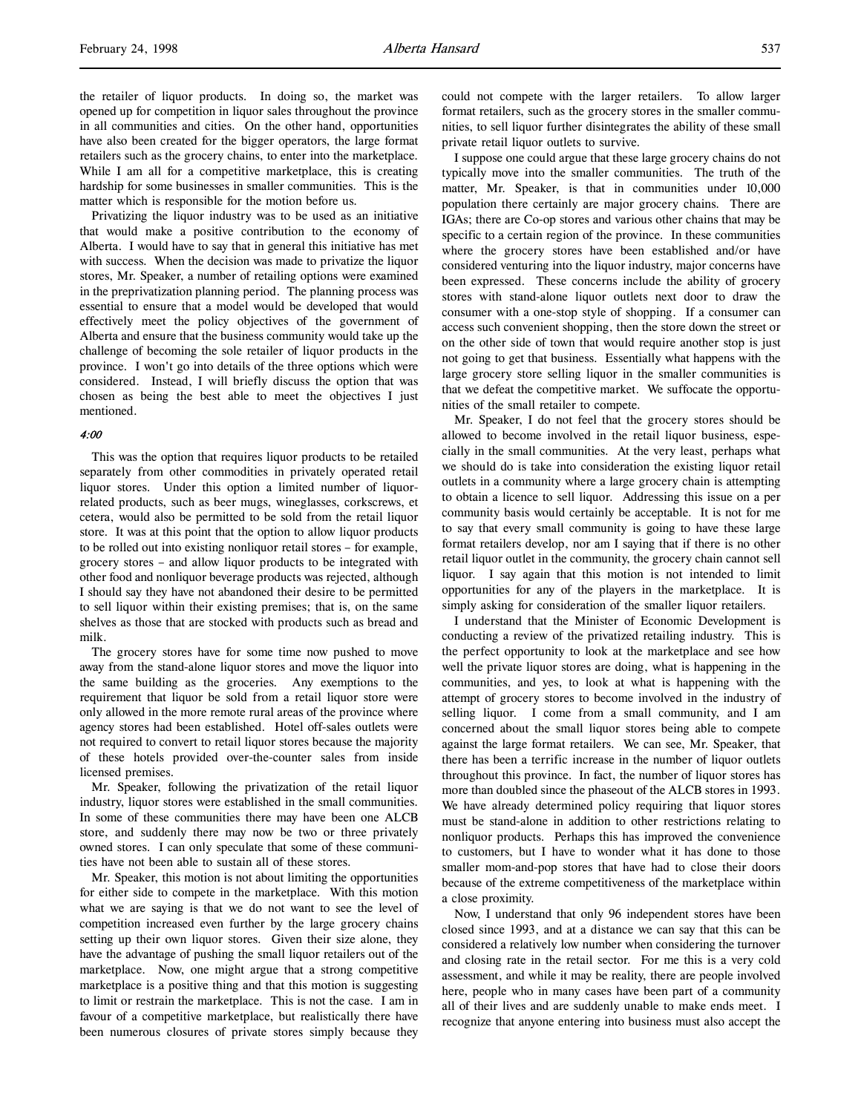the retailer of liquor products. In doing so, the market was opened up for competition in liquor sales throughout the province in all communities and cities. On the other hand, opportunities have also been created for the bigger operators, the large format retailers such as the grocery chains, to enter into the marketplace. While I am all for a competitive marketplace, this is creating hardship for some businesses in smaller communities. This is the matter which is responsible for the motion before us.

Privatizing the liquor industry was to be used as an initiative that would make a positive contribution to the economy of Alberta. I would have to say that in general this initiative has met with success. When the decision was made to privatize the liquor stores, Mr. Speaker, a number of retailing options were examined in the preprivatization planning period. The planning process was essential to ensure that a model would be developed that would effectively meet the policy objectives of the government of Alberta and ensure that the business community would take up the challenge of becoming the sole retailer of liquor products in the province. I won't go into details of the three options which were considered. Instead, I will briefly discuss the option that was chosen as being the best able to meet the objectives I just mentioned.

## 4:00

This was the option that requires liquor products to be retailed separately from other commodities in privately operated retail liquor stores. Under this option a limited number of liquorrelated products, such as beer mugs, wineglasses, corkscrews, et cetera, would also be permitted to be sold from the retail liquor store. It was at this point that the option to allow liquor products to be rolled out into existing nonliquor retail stores – for example, grocery stores – and allow liquor products to be integrated with other food and nonliquor beverage products was rejected, although I should say they have not abandoned their desire to be permitted to sell liquor within their existing premises; that is, on the same shelves as those that are stocked with products such as bread and milk.

The grocery stores have for some time now pushed to move away from the stand-alone liquor stores and move the liquor into the same building as the groceries. Any exemptions to the requirement that liquor be sold from a retail liquor store were only allowed in the more remote rural areas of the province where agency stores had been established. Hotel off-sales outlets were not required to convert to retail liquor stores because the majority of these hotels provided over-the-counter sales from inside licensed premises.

Mr. Speaker, following the privatization of the retail liquor industry, liquor stores were established in the small communities. In some of these communities there may have been one ALCB store, and suddenly there may now be two or three privately owned stores. I can only speculate that some of these communities have not been able to sustain all of these stores.

Mr. Speaker, this motion is not about limiting the opportunities for either side to compete in the marketplace. With this motion what we are saying is that we do not want to see the level of competition increased even further by the large grocery chains setting up their own liquor stores. Given their size alone, they have the advantage of pushing the small liquor retailers out of the marketplace. Now, one might argue that a strong competitive marketplace is a positive thing and that this motion is suggesting to limit or restrain the marketplace. This is not the case. I am in favour of a competitive marketplace, but realistically there have been numerous closures of private stores simply because they

could not compete with the larger retailers. To allow larger format retailers, such as the grocery stores in the smaller communities, to sell liquor further disintegrates the ability of these small private retail liquor outlets to survive.

I suppose one could argue that these large grocery chains do not typically move into the smaller communities. The truth of the matter, Mr. Speaker, is that in communities under 10,000 population there certainly are major grocery chains. There are IGAs; there are Co-op stores and various other chains that may be specific to a certain region of the province. In these communities where the grocery stores have been established and/or have considered venturing into the liquor industry, major concerns have been expressed. These concerns include the ability of grocery stores with stand-alone liquor outlets next door to draw the consumer with a one-stop style of shopping. If a consumer can access such convenient shopping, then the store down the street or on the other side of town that would require another stop is just not going to get that business. Essentially what happens with the large grocery store selling liquor in the smaller communities is that we defeat the competitive market. We suffocate the opportunities of the small retailer to compete.

Mr. Speaker, I do not feel that the grocery stores should be allowed to become involved in the retail liquor business, especially in the small communities. At the very least, perhaps what we should do is take into consideration the existing liquor retail outlets in a community where a large grocery chain is attempting to obtain a licence to sell liquor. Addressing this issue on a per community basis would certainly be acceptable. It is not for me to say that every small community is going to have these large format retailers develop, nor am I saying that if there is no other retail liquor outlet in the community, the grocery chain cannot sell liquor. I say again that this motion is not intended to limit opportunities for any of the players in the marketplace. It is simply asking for consideration of the smaller liquor retailers.

I understand that the Minister of Economic Development is conducting a review of the privatized retailing industry. This is the perfect opportunity to look at the marketplace and see how well the private liquor stores are doing, what is happening in the communities, and yes, to look at what is happening with the attempt of grocery stores to become involved in the industry of selling liquor. I come from a small community, and I am concerned about the small liquor stores being able to compete against the large format retailers. We can see, Mr. Speaker, that there has been a terrific increase in the number of liquor outlets throughout this province. In fact, the number of liquor stores has more than doubled since the phaseout of the ALCB stores in 1993. We have already determined policy requiring that liquor stores must be stand-alone in addition to other restrictions relating to nonliquor products. Perhaps this has improved the convenience to customers, but I have to wonder what it has done to those smaller mom-and-pop stores that have had to close their doors because of the extreme competitiveness of the marketplace within a close proximity.

Now, I understand that only 96 independent stores have been closed since 1993, and at a distance we can say that this can be considered a relatively low number when considering the turnover and closing rate in the retail sector. For me this is a very cold assessment, and while it may be reality, there are people involved here, people who in many cases have been part of a community all of their lives and are suddenly unable to make ends meet. I recognize that anyone entering into business must also accept the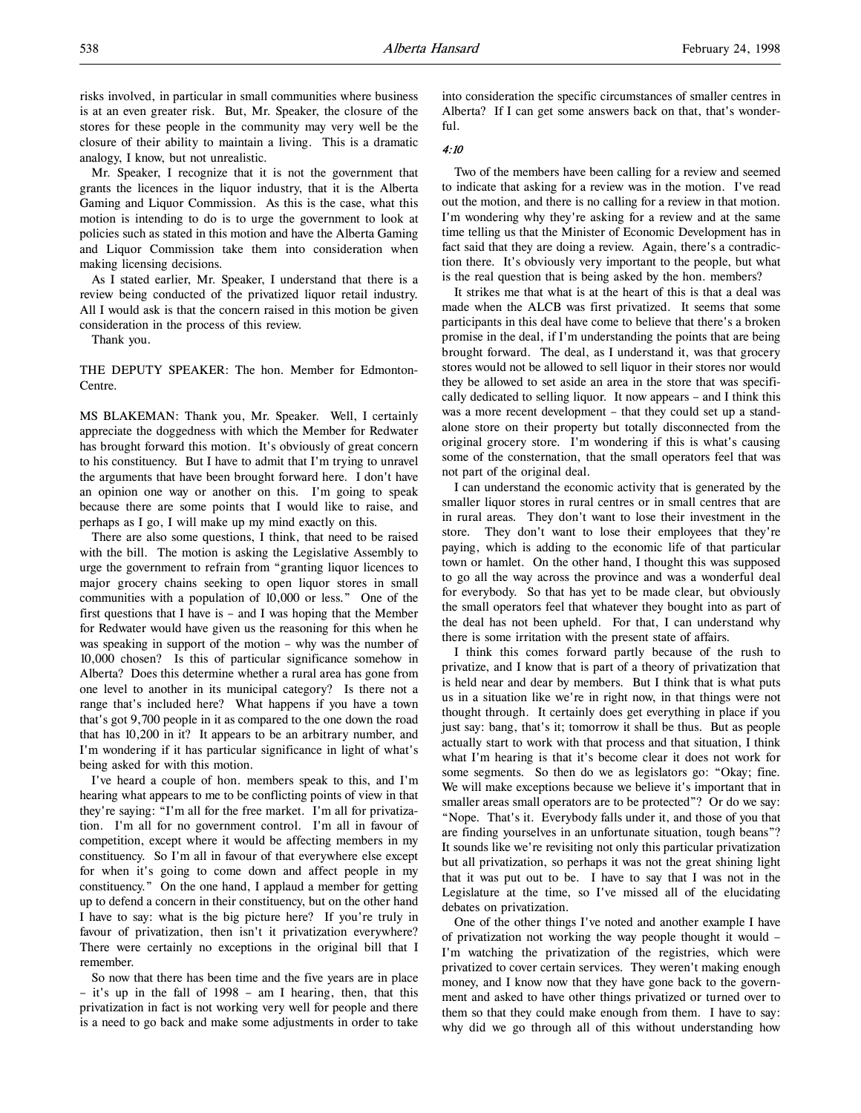risks involved, in particular in small communities where business is at an even greater risk. But, Mr. Speaker, the closure of the stores for these people in the community may very well be the closure of their ability to maintain a living. This is a dramatic analogy, I know, but not unrealistic.

Mr. Speaker, I recognize that it is not the government that grants the licences in the liquor industry, that it is the Alberta Gaming and Liquor Commission. As this is the case, what this motion is intending to do is to urge the government to look at policies such as stated in this motion and have the Alberta Gaming and Liquor Commission take them into consideration when making licensing decisions.

As I stated earlier, Mr. Speaker, I understand that there is a review being conducted of the privatized liquor retail industry. All I would ask is that the concern raised in this motion be given consideration in the process of this review.

Thank you.

THE DEPUTY SPEAKER: The hon. Member for Edmonton-Centre.

MS BLAKEMAN: Thank you, Mr. Speaker. Well, I certainly appreciate the doggedness with which the Member for Redwater has brought forward this motion. It's obviously of great concern to his constituency. But I have to admit that I'm trying to unravel the arguments that have been brought forward here. I don't have an opinion one way or another on this. I'm going to speak because there are some points that I would like to raise, and perhaps as I go, I will make up my mind exactly on this.

There are also some questions, I think, that need to be raised with the bill. The motion is asking the Legislative Assembly to urge the government to refrain from "granting liquor licences to major grocery chains seeking to open liquor stores in small communities with a population of 10,000 or less." One of the first questions that I have is – and I was hoping that the Member for Redwater would have given us the reasoning for this when he was speaking in support of the motion – why was the number of 10,000 chosen? Is this of particular significance somehow in Alberta? Does this determine whether a rural area has gone from one level to another in its municipal category? Is there not a range that's included here? What happens if you have a town that's got 9,700 people in it as compared to the one down the road that has 10,200 in it? It appears to be an arbitrary number, and I'm wondering if it has particular significance in light of what's being asked for with this motion.

I've heard a couple of hon. members speak to this, and I'm hearing what appears to me to be conflicting points of view in that they're saying: "I'm all for the free market. I'm all for privatization. I'm all for no government control. I'm all in favour of competition, except where it would be affecting members in my constituency. So I'm all in favour of that everywhere else except for when it's going to come down and affect people in my constituency." On the one hand, I applaud a member for getting up to defend a concern in their constituency, but on the other hand I have to say: what is the big picture here? If you're truly in favour of privatization, then isn't it privatization everywhere? There were certainly no exceptions in the original bill that I remember.

So now that there has been time and the five years are in place – it's up in the fall of 1998 – am I hearing, then, that this privatization in fact is not working very well for people and there is a need to go back and make some adjustments in order to take into consideration the specific circumstances of smaller centres in Alberta? If I can get some answers back on that, that's wonderful.

#### 4:10

Two of the members have been calling for a review and seemed to indicate that asking for a review was in the motion. I've read out the motion, and there is no calling for a review in that motion. I'm wondering why they're asking for a review and at the same time telling us that the Minister of Economic Development has in fact said that they are doing a review. Again, there's a contradiction there. It's obviously very important to the people, but what is the real question that is being asked by the hon. members?

It strikes me that what is at the heart of this is that a deal was made when the ALCB was first privatized. It seems that some participants in this deal have come to believe that there's a broken promise in the deal, if I'm understanding the points that are being brought forward. The deal, as I understand it, was that grocery stores would not be allowed to sell liquor in their stores nor would they be allowed to set aside an area in the store that was specifically dedicated to selling liquor. It now appears – and I think this was a more recent development – that they could set up a standalone store on their property but totally disconnected from the original grocery store. I'm wondering if this is what's causing some of the consternation, that the small operators feel that was not part of the original deal.

I can understand the economic activity that is generated by the smaller liquor stores in rural centres or in small centres that are in rural areas. They don't want to lose their investment in the store. They don't want to lose their employees that they're paying, which is adding to the economic life of that particular town or hamlet. On the other hand, I thought this was supposed to go all the way across the province and was a wonderful deal for everybody. So that has yet to be made clear, but obviously the small operators feel that whatever they bought into as part of the deal has not been upheld. For that, I can understand why there is some irritation with the present state of affairs.

I think this comes forward partly because of the rush to privatize, and I know that is part of a theory of privatization that is held near and dear by members. But I think that is what puts us in a situation like we're in right now, in that things were not thought through. It certainly does get everything in place if you just say: bang, that's it; tomorrow it shall be thus. But as people actually start to work with that process and that situation, I think what I'm hearing is that it's become clear it does not work for some segments. So then do we as legislators go: "Okay; fine. We will make exceptions because we believe it's important that in smaller areas small operators are to be protected"? Or do we say: "Nope. That's it. Everybody falls under it, and those of you that are finding yourselves in an unfortunate situation, tough beans"? It sounds like we're revisiting not only this particular privatization but all privatization, so perhaps it was not the great shining light that it was put out to be. I have to say that I was not in the Legislature at the time, so I've missed all of the elucidating debates on privatization.

One of the other things I've noted and another example I have of privatization not working the way people thought it would – I'm watching the privatization of the registries, which were privatized to cover certain services. They weren't making enough money, and I know now that they have gone back to the government and asked to have other things privatized or turned over to them so that they could make enough from them. I have to say: why did we go through all of this without understanding how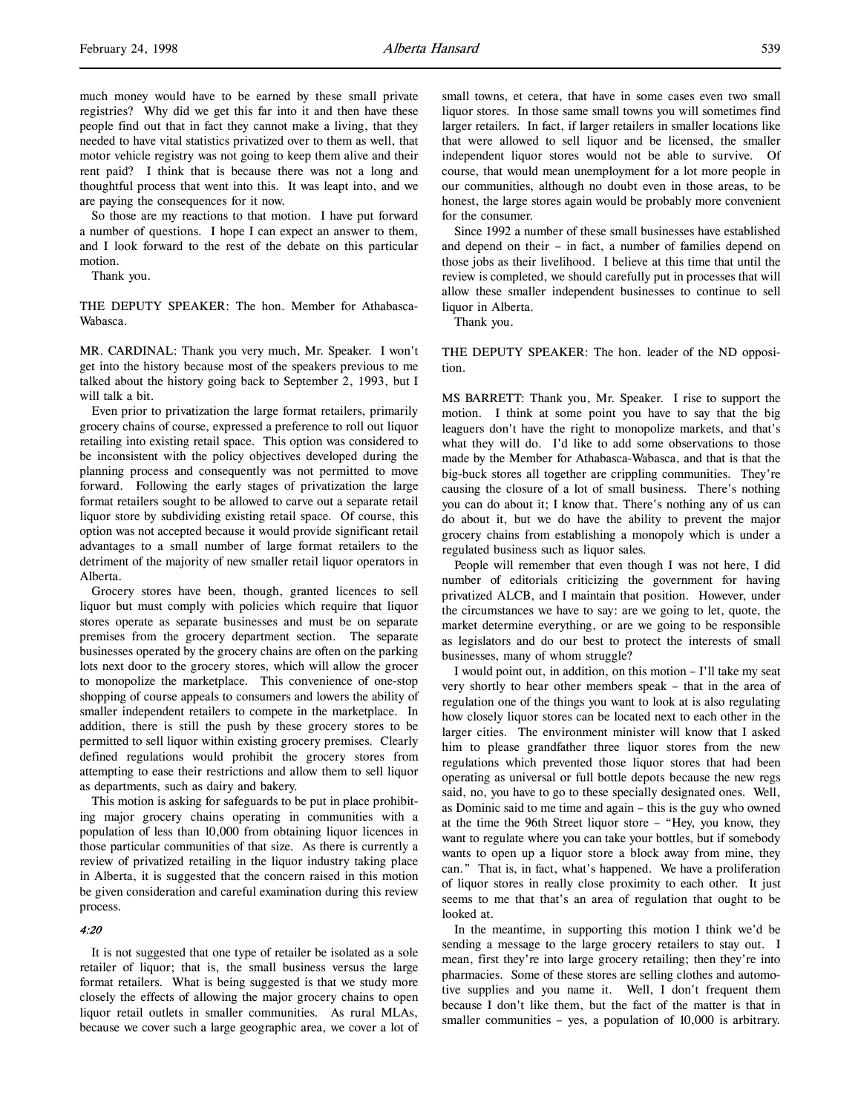much money would have to be earned by these small private registries? Why did we get this far into it and then have these people find out that in fact they cannot make a living, that they needed to have vital statistics privatized over to them as well, that motor vehicle registry was not going to keep them alive and their rent paid? I think that is because there was not a long and thoughtful process that went into this. It was leapt into, and we are paying the consequences for it now.

So those are my reactions to that motion. I have put forward a number of questions. I hope I can expect an answer to them, and I look forward to the rest of the debate on this particular motion.

Thank you.

THE DEPUTY SPEAKER: The hon. Member for Athabasca-Wabasca.

MR. CARDINAL: Thank you very much, Mr. Speaker. I won't get into the history because most of the speakers previous to me talked about the history going back to September 2, 1993, but I will talk a bit.

Even prior to privatization the large format retailers, primarily grocery chains of course, expressed a preference to roll out liquor retailing into existing retail space. This option was considered to be inconsistent with the policy objectives developed during the planning process and consequently was not permitted to move forward. Following the early stages of privatization the large format retailers sought to be allowed to carve out a separate retail liquor store by subdividing existing retail space. Of course, this option was not accepted because it would provide significant retail advantages to a small number of large format retailers to the detriment of the majority of new smaller retail liquor operators in Alberta.

Grocery stores have been, though, granted licences to sell liquor but must comply with policies which require that liquor stores operate as separate businesses and must be on separate premises from the grocery department section. The separate businesses operated by the grocery chains are often on the parking lots next door to the grocery stores, which will allow the grocer to monopolize the marketplace. This convenience of one-stop shopping of course appeals to consumers and lowers the ability of smaller independent retailers to compete in the marketplace. In addition, there is still the push by these grocery stores to be permitted to sell liquor within existing grocery premises. Clearly defined regulations would prohibit the grocery stores from attempting to ease their restrictions and allow them to sell liquor as departments, such as dairy and bakery.

This motion is asking for safeguards to be put in place prohibiting major grocery chains operating in communities with a population of less than 10,000 from obtaining liquor licences in those particular communities of that size. As there is currently a review of privatized retailing in the liquor industry taking place in Alberta, it is suggested that the concern raised in this motion be given consideration and careful examination during this review process.

## 4:20

It is not suggested that one type of retailer be isolated as a sole retailer of liquor; that is, the small business versus the large format retailers. What is being suggested is that we study more closely the effects of allowing the major grocery chains to open liquor retail outlets in smaller communities. As rural MLAs, because we cover such a large geographic area, we cover a lot of small towns, et cetera, that have in some cases even two small liquor stores. In those same small towns you will sometimes find larger retailers. In fact, if larger retailers in smaller locations like that were allowed to sell liquor and be licensed, the smaller independent liquor stores would not be able to survive. Of course, that would mean unemployment for a lot more people in our communities, although no doubt even in those areas, to be honest, the large stores again would be probably more convenient for the consumer.

Since 1992 a number of these small businesses have established and depend on their – in fact, a number of families depend on those jobs as their livelihood. I believe at this time that until the review is completed, we should carefully put in processes that will allow these smaller independent businesses to continue to sell liquor in Alberta.

Thank you.

THE DEPUTY SPEAKER: The hon. leader of the ND opposition.

MS BARRETT: Thank you, Mr. Speaker. I rise to support the motion. I think at some point you have to say that the big leaguers don't have the right to monopolize markets, and that's what they will do. I'd like to add some observations to those made by the Member for Athabasca-Wabasca, and that is that the big-buck stores all together are crippling communities. They're causing the closure of a lot of small business. There's nothing you can do about it; I know that. There's nothing any of us can do about it, but we do have the ability to prevent the major grocery chains from establishing a monopoly which is under a regulated business such as liquor sales.

People will remember that even though I was not here, I did number of editorials criticizing the government for having privatized ALCB, and I maintain that position. However, under the circumstances we have to say: are we going to let, quote, the market determine everything, or are we going to be responsible as legislators and do our best to protect the interests of small businesses, many of whom struggle?

I would point out, in addition, on this motion – I'll take my seat very shortly to hear other members speak – that in the area of regulation one of the things you want to look at is also regulating how closely liquor stores can be located next to each other in the larger cities. The environment minister will know that I asked him to please grandfather three liquor stores from the new regulations which prevented those liquor stores that had been operating as universal or full bottle depots because the new regs said, no, you have to go to these specially designated ones. Well, as Dominic said to me time and again – this is the guy who owned at the time the 96th Street liquor store – "Hey, you know, they want to regulate where you can take your bottles, but if somebody wants to open up a liquor store a block away from mine, they can." That is, in fact, what's happened. We have a proliferation of liquor stores in really close proximity to each other. It just seems to me that that's an area of regulation that ought to be looked at.

In the meantime, in supporting this motion I think we'd be sending a message to the large grocery retailers to stay out. I mean, first they're into large grocery retailing; then they're into pharmacies. Some of these stores are selling clothes and automotive supplies and you name it. Well, I don't frequent them because I don't like them, but the fact of the matter is that in smaller communities – yes, a population of 10,000 is arbitrary.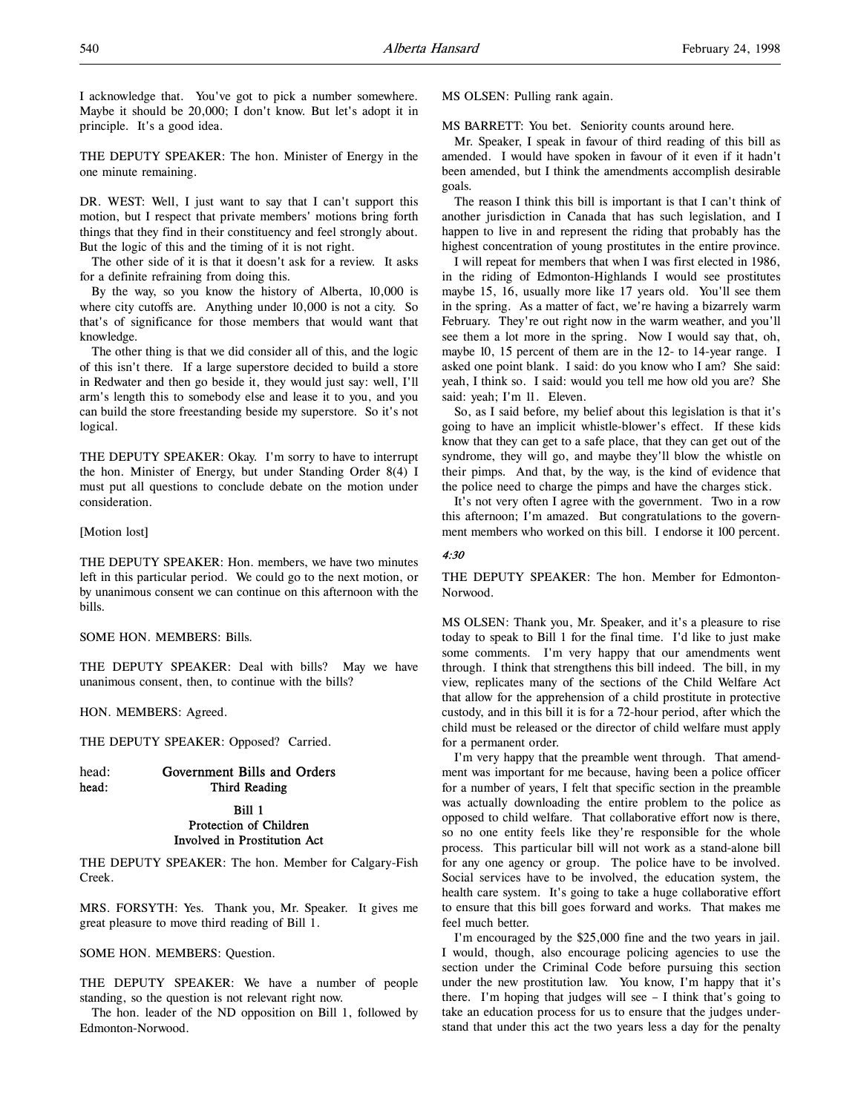I acknowledge that. You've got to pick a number somewhere. Maybe it should be 20,000; I don't know. But let's adopt it in principle. It's a good idea.

THE DEPUTY SPEAKER: The hon. Minister of Energy in the one minute remaining.

DR. WEST: Well, I just want to say that I can't support this motion, but I respect that private members' motions bring forth things that they find in their constituency and feel strongly about. But the logic of this and the timing of it is not right.

The other side of it is that it doesn't ask for a review. It asks for a definite refraining from doing this.

By the way, so you know the history of Alberta, 10,000 is where city cutoffs are. Anything under 10,000 is not a city. So that's of significance for those members that would want that knowledge.

The other thing is that we did consider all of this, and the logic of this isn't there. If a large superstore decided to build a store in Redwater and then go beside it, they would just say: well, I'll arm's length this to somebody else and lease it to you, and you can build the store freestanding beside my superstore. So it's not logical.

THE DEPUTY SPEAKER: Okay. I'm sorry to have to interrupt the hon. Minister of Energy, but under Standing Order 8(4) I must put all questions to conclude debate on the motion under consideration.

#### [Motion lost]

THE DEPUTY SPEAKER: Hon. members, we have two minutes left in this particular period. We could go to the next motion, or by unanimous consent we can continue on this afternoon with the bills.

SOME HON. MEMBERS: Bills.

THE DEPUTY SPEAKER: Deal with bills? May we have unanimous consent, then, to continue with the bills?

HON. MEMBERS: Agreed.

THE DEPUTY SPEAKER: Opposed? Carried.

# head: Government Bills and Orders head: Third Reading

# Bill 1 Protection of Children Involved in Prostitution Act

THE DEPUTY SPEAKER: The hon. Member for Calgary-Fish Creek.

MRS. FORSYTH: Yes. Thank you, Mr. Speaker. It gives me great pleasure to move third reading of Bill 1.

SOME HON. MEMBERS: Question.

THE DEPUTY SPEAKER: We have a number of people standing, so the question is not relevant right now.

The hon. leader of the ND opposition on Bill 1, followed by Edmonton-Norwood.

MS OLSEN: Pulling rank again.

MS BARRETT: You bet. Seniority counts around here.

Mr. Speaker, I speak in favour of third reading of this bill as amended. I would have spoken in favour of it even if it hadn't been amended, but I think the amendments accomplish desirable goals.

The reason I think this bill is important is that I can't think of another jurisdiction in Canada that has such legislation, and I happen to live in and represent the riding that probably has the highest concentration of young prostitutes in the entire province.

I will repeat for members that when I was first elected in 1986, in the riding of Edmonton-Highlands I would see prostitutes maybe 15, 16, usually more like 17 years old. You'll see them in the spring. As a matter of fact, we're having a bizarrely warm February. They're out right now in the warm weather, and you'll see them a lot more in the spring. Now I would say that, oh, maybe 10, 15 percent of them are in the 12- to 14-year range. I asked one point blank. I said: do you know who I am? She said: yeah, I think so. I said: would you tell me how old you are? She said: yeah; I'm 11. Eleven.

So, as I said before, my belief about this legislation is that it's going to have an implicit whistle-blower's effect. If these kids know that they can get to a safe place, that they can get out of the syndrome, they will go, and maybe they'll blow the whistle on their pimps. And that, by the way, is the kind of evidence that the police need to charge the pimps and have the charges stick.

It's not very often I agree with the government. Two in a row this afternoon; I'm amazed. But congratulations to the government members who worked on this bill. I endorse it 100 percent.

### 4:30

THE DEPUTY SPEAKER: The hon. Member for Edmonton-Norwood.

MS OLSEN: Thank you, Mr. Speaker, and it's a pleasure to rise today to speak to Bill 1 for the final time. I'd like to just make some comments. I'm very happy that our amendments went through. I think that strengthens this bill indeed. The bill, in my view, replicates many of the sections of the Child Welfare Act that allow for the apprehension of a child prostitute in protective custody, and in this bill it is for a 72-hour period, after which the child must be released or the director of child welfare must apply for a permanent order.

I'm very happy that the preamble went through. That amendment was important for me because, having been a police officer for a number of years, I felt that specific section in the preamble was actually downloading the entire problem to the police as opposed to child welfare. That collaborative effort now is there, so no one entity feels like they're responsible for the whole process. This particular bill will not work as a stand-alone bill for any one agency or group. The police have to be involved. Social services have to be involved, the education system, the health care system. It's going to take a huge collaborative effort to ensure that this bill goes forward and works. That makes me feel much better.

I'm encouraged by the \$25,000 fine and the two years in jail. I would, though, also encourage policing agencies to use the section under the Criminal Code before pursuing this section under the new prostitution law. You know, I'm happy that it's there. I'm hoping that judges will see  $-$  I think that's going to take an education process for us to ensure that the judges understand that under this act the two years less a day for the penalty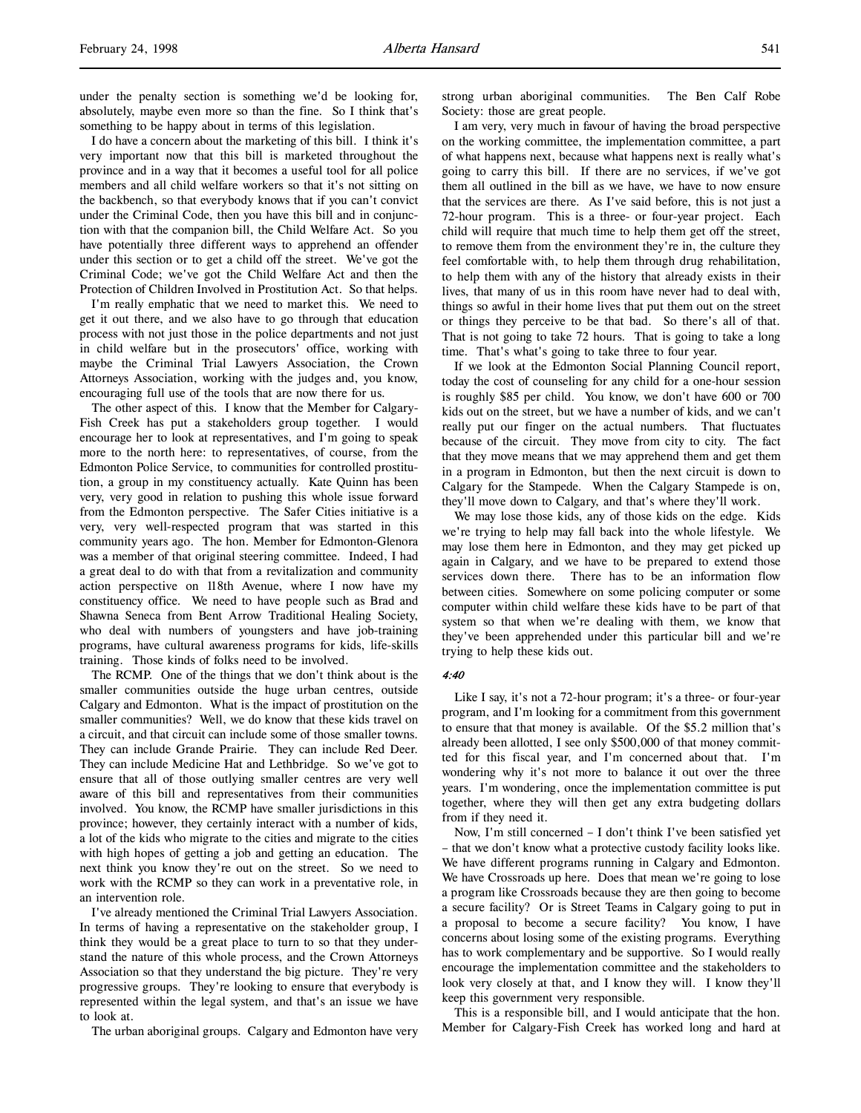I do have a concern about the marketing of this bill. I think it's very important now that this bill is marketed throughout the province and in a way that it becomes a useful tool for all police members and all child welfare workers so that it's not sitting on the backbench, so that everybody knows that if you can't convict under the Criminal Code, then you have this bill and in conjunction with that the companion bill, the Child Welfare Act. So you have potentially three different ways to apprehend an offender under this section or to get a child off the street. We've got the Criminal Code; we've got the Child Welfare Act and then the Protection of Children Involved in Prostitution Act. So that helps.

I'm really emphatic that we need to market this. We need to get it out there, and we also have to go through that education process with not just those in the police departments and not just in child welfare but in the prosecutors' office, working with maybe the Criminal Trial Lawyers Association, the Crown Attorneys Association, working with the judges and, you know, encouraging full use of the tools that are now there for us.

The other aspect of this. I know that the Member for Calgary-Fish Creek has put a stakeholders group together. I would encourage her to look at representatives, and I'm going to speak more to the north here: to representatives, of course, from the Edmonton Police Service, to communities for controlled prostitution, a group in my constituency actually. Kate Quinn has been very, very good in relation to pushing this whole issue forward from the Edmonton perspective. The Safer Cities initiative is a very, very well-respected program that was started in this community years ago. The hon. Member for Edmonton-Glenora was a member of that original steering committee. Indeed, I had a great deal to do with that from a revitalization and community action perspective on 118th Avenue, where I now have my constituency office. We need to have people such as Brad and Shawna Seneca from Bent Arrow Traditional Healing Society, who deal with numbers of youngsters and have job-training programs, have cultural awareness programs for kids, life-skills training. Those kinds of folks need to be involved.

The RCMP. One of the things that we don't think about is the smaller communities outside the huge urban centres, outside Calgary and Edmonton. What is the impact of prostitution on the smaller communities? Well, we do know that these kids travel on a circuit, and that circuit can include some of those smaller towns. They can include Grande Prairie. They can include Red Deer. They can include Medicine Hat and Lethbridge. So we've got to ensure that all of those outlying smaller centres are very well aware of this bill and representatives from their communities involved. You know, the RCMP have smaller jurisdictions in this province; however, they certainly interact with a number of kids, a lot of the kids who migrate to the cities and migrate to the cities with high hopes of getting a job and getting an education. The next think you know they're out on the street. So we need to work with the RCMP so they can work in a preventative role, in an intervention role.

I've already mentioned the Criminal Trial Lawyers Association. In terms of having a representative on the stakeholder group, I think they would be a great place to turn to so that they understand the nature of this whole process, and the Crown Attorneys Association so that they understand the big picture. They're very progressive groups. They're looking to ensure that everybody is represented within the legal system, and that's an issue we have to look at.

The urban aboriginal groups. Calgary and Edmonton have very

strong urban aboriginal communities. The Ben Calf Robe Society: those are great people.

I am very, very much in favour of having the broad perspective on the working committee, the implementation committee, a part of what happens next, because what happens next is really what's going to carry this bill. If there are no services, if we've got them all outlined in the bill as we have, we have to now ensure that the services are there. As I've said before, this is not just a 72-hour program. This is a three- or four-year project. Each child will require that much time to help them get off the street, to remove them from the environment they're in, the culture they feel comfortable with, to help them through drug rehabilitation, to help them with any of the history that already exists in their lives, that many of us in this room have never had to deal with, things so awful in their home lives that put them out on the street or things they perceive to be that bad. So there's all of that. That is not going to take 72 hours. That is going to take a long time. That's what's going to take three to four year.

If we look at the Edmonton Social Planning Council report, today the cost of counseling for any child for a one-hour session is roughly \$85 per child. You know, we don't have 600 or 700 kids out on the street, but we have a number of kids, and we can't really put our finger on the actual numbers. That fluctuates because of the circuit. They move from city to city. The fact that they move means that we may apprehend them and get them in a program in Edmonton, but then the next circuit is down to Calgary for the Stampede. When the Calgary Stampede is on, they'll move down to Calgary, and that's where they'll work.

We may lose those kids, any of those kids on the edge. Kids we're trying to help may fall back into the whole lifestyle. We may lose them here in Edmonton, and they may get picked up again in Calgary, and we have to be prepared to extend those services down there. There has to be an information flow between cities. Somewhere on some policing computer or some computer within child welfare these kids have to be part of that system so that when we're dealing with them, we know that they've been apprehended under this particular bill and we're trying to help these kids out.

#### 4:40

Like I say, it's not a 72-hour program; it's a three- or four-year program, and I'm looking for a commitment from this government to ensure that that money is available. Of the \$5.2 million that's already been allotted, I see only \$500,000 of that money committed for this fiscal year, and I'm concerned about that. I'm wondering why it's not more to balance it out over the three years. I'm wondering, once the implementation committee is put together, where they will then get any extra budgeting dollars from if they need it.

Now, I'm still concerned – I don't think I've been satisfied yet – that we don't know what a protective custody facility looks like. We have different programs running in Calgary and Edmonton. We have Crossroads up here. Does that mean we're going to lose a program like Crossroads because they are then going to become a secure facility? Or is Street Teams in Calgary going to put in a proposal to become a secure facility? You know, I have concerns about losing some of the existing programs. Everything has to work complementary and be supportive. So I would really encourage the implementation committee and the stakeholders to look very closely at that, and I know they will. I know they'll keep this government very responsible.

This is a responsible bill, and I would anticipate that the hon. Member for Calgary-Fish Creek has worked long and hard at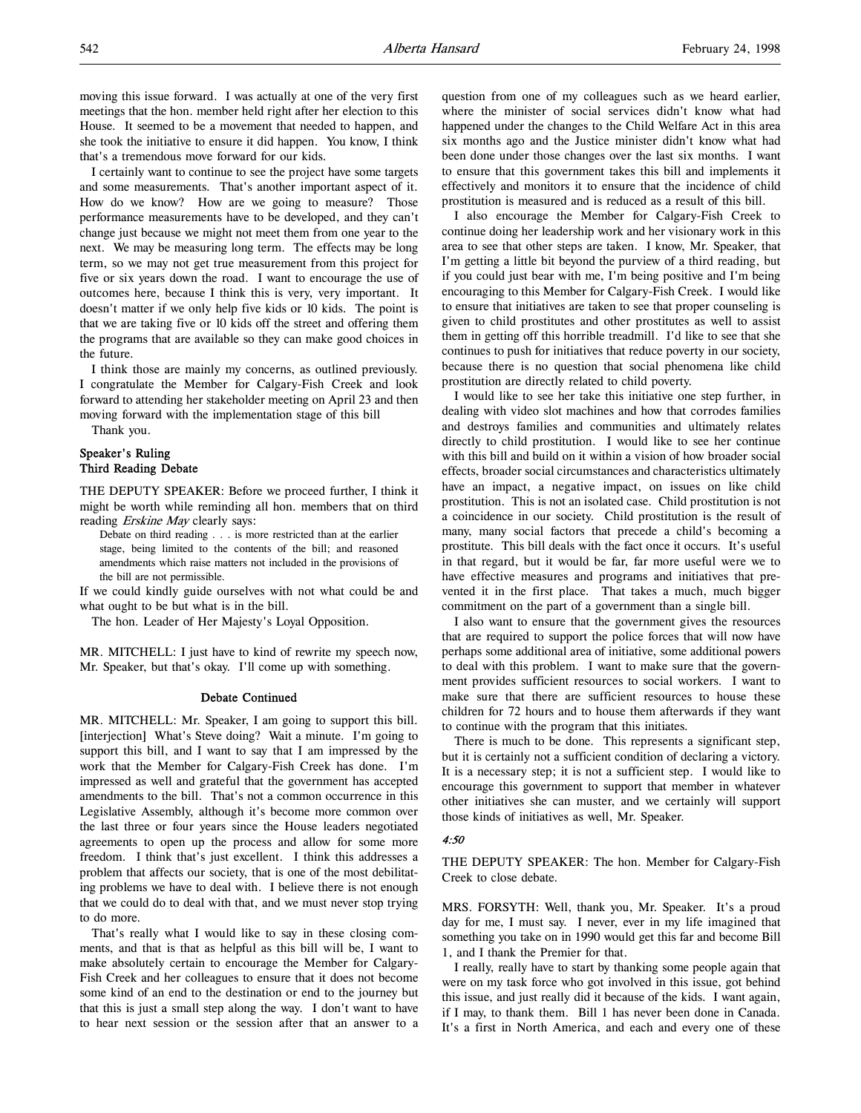moving this issue forward. I was actually at one of the very first meetings that the hon. member held right after her election to this House. It seemed to be a movement that needed to happen, and she took the initiative to ensure it did happen. You know, I think that's a tremendous move forward for our kids.

I certainly want to continue to see the project have some targets and some measurements. That's another important aspect of it. How do we know? How are we going to measure? Those performance measurements have to be developed, and they can't change just because we might not meet them from one year to the next. We may be measuring long term. The effects may be long term, so we may not get true measurement from this project for five or six years down the road. I want to encourage the use of outcomes here, because I think this is very, very important. It doesn't matter if we only help five kids or 10 kids. The point is that we are taking five or 10 kids off the street and offering them the programs that are available so they can make good choices in the future.

I think those are mainly my concerns, as outlined previously. I congratulate the Member for Calgary-Fish Creek and look forward to attending her stakeholder meeting on April 23 and then moving forward with the implementation stage of this bill

Thank you.

# Speaker's Ruling Third Reading Debate

THE DEPUTY SPEAKER: Before we proceed further, I think it might be worth while reminding all hon. members that on third reading *Erskine May* clearly says:

Debate on third reading . . . is more restricted than at the earlier stage, being limited to the contents of the bill; and reasoned amendments which raise matters not included in the provisions of the bill are not permissible.

If we could kindly guide ourselves with not what could be and what ought to be but what is in the bill.

The hon. Leader of Her Majesty's Loyal Opposition.

MR. MITCHELL: I just have to kind of rewrite my speech now, Mr. Speaker, but that's okay. I'll come up with something.

### Debate Continued

MR. MITCHELL: Mr. Speaker, I am going to support this bill. [interjection] What's Steve doing? Wait a minute. I'm going to support this bill, and I want to say that I am impressed by the work that the Member for Calgary-Fish Creek has done. I'm impressed as well and grateful that the government has accepted amendments to the bill. That's not a common occurrence in this Legislative Assembly, although it's become more common over the last three or four years since the House leaders negotiated agreements to open up the process and allow for some more freedom. I think that's just excellent. I think this addresses a problem that affects our society, that is one of the most debilitating problems we have to deal with. I believe there is not enough that we could do to deal with that, and we must never stop trying to do more.

That's really what I would like to say in these closing comments, and that is that as helpful as this bill will be, I want to make absolutely certain to encourage the Member for Calgary-Fish Creek and her colleagues to ensure that it does not become some kind of an end to the destination or end to the journey but that this is just a small step along the way. I don't want to have to hear next session or the session after that an answer to a

question from one of my colleagues such as we heard earlier, where the minister of social services didn't know what had happened under the changes to the Child Welfare Act in this area six months ago and the Justice minister didn't know what had been done under those changes over the last six months. I want to ensure that this government takes this bill and implements it effectively and monitors it to ensure that the incidence of child prostitution is measured and is reduced as a result of this bill.

I also encourage the Member for Calgary-Fish Creek to continue doing her leadership work and her visionary work in this area to see that other steps are taken. I know, Mr. Speaker, that I'm getting a little bit beyond the purview of a third reading, but if you could just bear with me, I'm being positive and I'm being encouraging to this Member for Calgary-Fish Creek. I would like to ensure that initiatives are taken to see that proper counseling is given to child prostitutes and other prostitutes as well to assist them in getting off this horrible treadmill. I'd like to see that she continues to push for initiatives that reduce poverty in our society, because there is no question that social phenomena like child prostitution are directly related to child poverty.

I would like to see her take this initiative one step further, in dealing with video slot machines and how that corrodes families and destroys families and communities and ultimately relates directly to child prostitution. I would like to see her continue with this bill and build on it within a vision of how broader social effects, broader social circumstances and characteristics ultimately have an impact, a negative impact, on issues on like child prostitution. This is not an isolated case. Child prostitution is not a coincidence in our society. Child prostitution is the result of many, many social factors that precede a child's becoming a prostitute. This bill deals with the fact once it occurs. It's useful in that regard, but it would be far, far more useful were we to have effective measures and programs and initiatives that prevented it in the first place. That takes a much, much bigger commitment on the part of a government than a single bill.

I also want to ensure that the government gives the resources that are required to support the police forces that will now have perhaps some additional area of initiative, some additional powers to deal with this problem. I want to make sure that the government provides sufficient resources to social workers. I want to make sure that there are sufficient resources to house these children for 72 hours and to house them afterwards if they want to continue with the program that this initiates.

There is much to be done. This represents a significant step, but it is certainly not a sufficient condition of declaring a victory. It is a necessary step; it is not a sufficient step. I would like to encourage this government to support that member in whatever other initiatives she can muster, and we certainly will support those kinds of initiatives as well, Mr. Speaker.

#### $4.50$

THE DEPUTY SPEAKER: The hon. Member for Calgary-Fish Creek to close debate.

MRS. FORSYTH: Well, thank you, Mr. Speaker. It's a proud day for me, I must say. I never, ever in my life imagined that something you take on in 1990 would get this far and become Bill 1, and I thank the Premier for that.

I really, really have to start by thanking some people again that were on my task force who got involved in this issue, got behind this issue, and just really did it because of the kids. I want again, if I may, to thank them. Bill 1 has never been done in Canada. It's a first in North America, and each and every one of these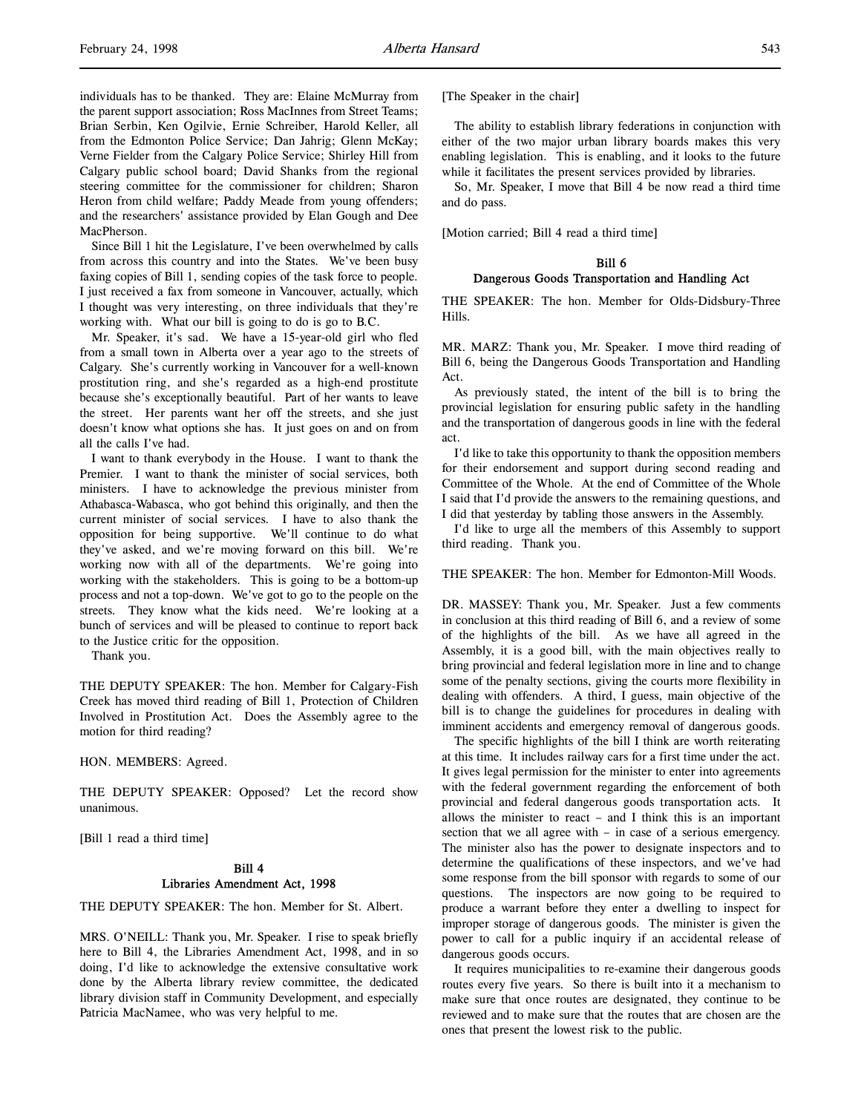individuals has to be thanked. They are: Elaine McMurray from the parent support association; Ross MacInnes from Street Teams; Brian Serbin, Ken Ogilvie, Ernie Schreiber, Harold Keller, all from the Edmonton Police Service; Dan Jahrig; Glenn McKay; Verne Fielder from the Calgary Police Service; Shirley Hill from Calgary public school board; David Shanks from the regional steering committee for the commissioner for children; Sharon Heron from child welfare; Paddy Meade from young offenders; and the researchers' assistance provided by Elan Gough and Dee MacPherson.

Since Bill 1 hit the Legislature, I've been overwhelmed by calls from across this country and into the States. We've been busy faxing copies of Bill 1, sending copies of the task force to people. I just received a fax from someone in Vancouver, actually, which I thought was very interesting, on three individuals that they're working with. What our bill is going to do is go to B.C.

Mr. Speaker, it's sad. We have a 15-year-old girl who fled from a small town in Alberta over a year ago to the streets of Calgary. She's currently working in Vancouver for a well-known prostitution ring, and she's regarded as a high-end prostitute because she's exceptionally beautiful. Part of her wants to leave the street. Her parents want her off the streets, and she just doesn't know what options she has. It just goes on and on from all the calls I've had.

I want to thank everybody in the House. I want to thank the Premier. I want to thank the minister of social services, both ministers. I have to acknowledge the previous minister from Athabasca-Wabasca, who got behind this originally, and then the current minister of social services. I have to also thank the opposition for being supportive. We'll continue to do what they've asked, and we're moving forward on this bill. We're working now with all of the departments. We're going into working with the stakeholders. This is going to be a bottom-up process and not a top-down. We've got to go to the people on the streets. They know what the kids need. We're looking at a bunch of services and will be pleased to continue to report back to the Justice critic for the opposition.

Thank you.

THE DEPUTY SPEAKER: The hon. Member for Calgary-Fish Creek has moved third reading of Bill 1, Protection of Children Involved in Prostitution Act. Does the Assembly agree to the motion for third reading?

HON. MEMBERS: Agreed.

THE DEPUTY SPEAKER: Opposed? Let the record show unanimous.

[Bill 1 read a third time]

# Bill 4 Libraries Amendment Act, 1998

THE DEPUTY SPEAKER: The hon. Member for St. Albert.

MRS. O'NEILL: Thank you, Mr. Speaker. I rise to speak briefly here to Bill 4, the Libraries Amendment Act, 1998, and in so doing, I'd like to acknowledge the extensive consultative work done by the Alberta library review committee, the dedicated library division staff in Community Development, and especially Patricia MacNamee, who was very helpful to me.

[The Speaker in the chair]

The ability to establish library federations in conjunction with either of the two major urban library boards makes this very enabling legislation. This is enabling, and it looks to the future while it facilitates the present services provided by libraries.

So, Mr. Speaker, I move that Bill 4 be now read a third time and do pass.

[Motion carried; Bill 4 read a third time]

## Bill 6

## Dangerous Goods Transportation and Handling Act

THE SPEAKER: The hon. Member for Olds-Didsbury-Three Hills.

MR. MARZ: Thank you, Mr. Speaker. I move third reading of Bill 6, being the Dangerous Goods Transportation and Handling Act.

As previously stated, the intent of the bill is to bring the provincial legislation for ensuring public safety in the handling and the transportation of dangerous goods in line with the federal act.

I'd like to take this opportunity to thank the opposition members for their endorsement and support during second reading and Committee of the Whole. At the end of Committee of the Whole I said that I'd provide the answers to the remaining questions, and I did that yesterday by tabling those answers in the Assembly.

I'd like to urge all the members of this Assembly to support third reading. Thank you.

THE SPEAKER: The hon. Member for Edmonton-Mill Woods.

DR. MASSEY: Thank you, Mr. Speaker. Just a few comments in conclusion at this third reading of Bill 6, and a review of some of the highlights of the bill. As we have all agreed in the Assembly, it is a good bill, with the main objectives really to bring provincial and federal legislation more in line and to change some of the penalty sections, giving the courts more flexibility in dealing with offenders. A third, I guess, main objective of the bill is to change the guidelines for procedures in dealing with imminent accidents and emergency removal of dangerous goods.

The specific highlights of the bill I think are worth reiterating at this time. It includes railway cars for a first time under the act. It gives legal permission for the minister to enter into agreements with the federal government regarding the enforcement of both provincial and federal dangerous goods transportation acts. It allows the minister to react – and I think this is an important section that we all agree with – in case of a serious emergency. The minister also has the power to designate inspectors and to determine the qualifications of these inspectors, and we've had some response from the bill sponsor with regards to some of our questions. The inspectors are now going to be required to produce a warrant before they enter a dwelling to inspect for improper storage of dangerous goods. The minister is given the power to call for a public inquiry if an accidental release of dangerous goods occurs.

It requires municipalities to re-examine their dangerous goods routes every five years. So there is built into it a mechanism to make sure that once routes are designated, they continue to be reviewed and to make sure that the routes that are chosen are the ones that present the lowest risk to the public.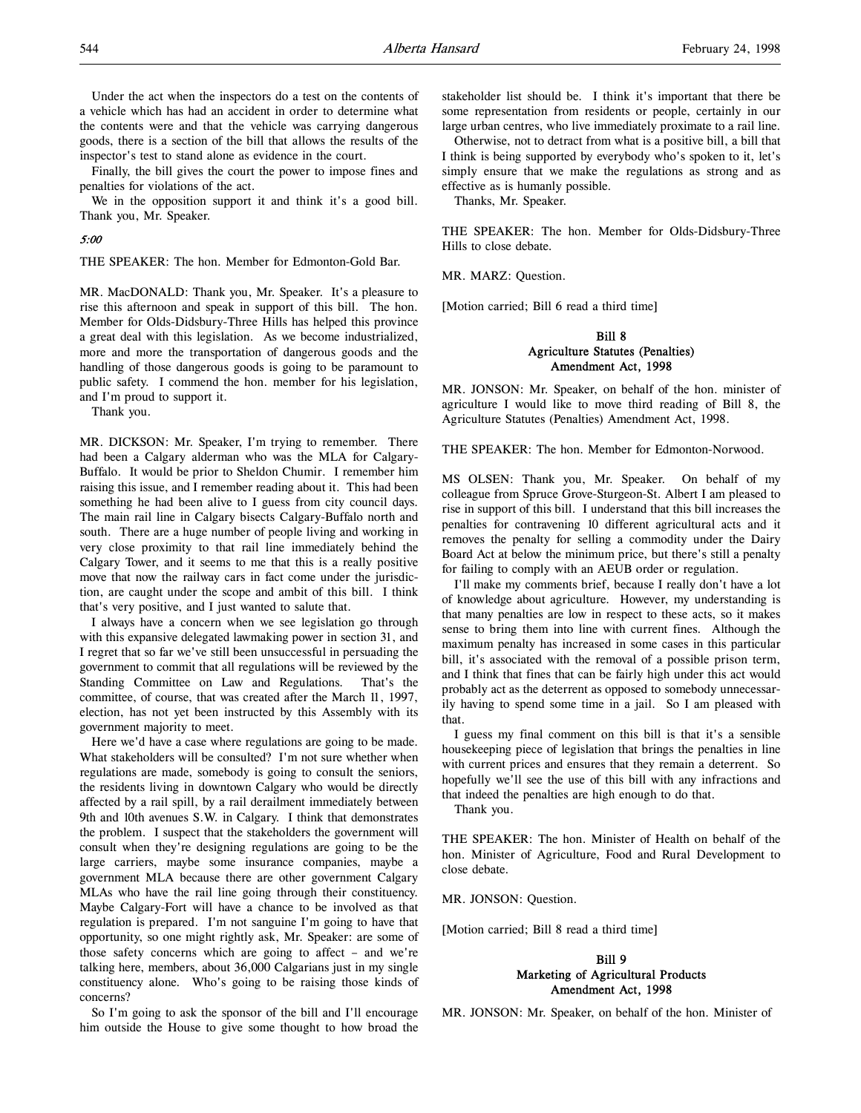Under the act when the inspectors do a test on the contents of a vehicle which has had an accident in order to determine what the contents were and that the vehicle was carrying dangerous goods, there is a section of the bill that allows the results of the inspector's test to stand alone as evidence in the court.

Finally, the bill gives the court the power to impose fines and penalties for violations of the act.

We in the opposition support it and think it's a good bill. Thank you, Mr. Speaker.

#### 5:00

THE SPEAKER: The hon. Member for Edmonton-Gold Bar.

MR. MacDONALD: Thank you, Mr. Speaker. It's a pleasure to rise this afternoon and speak in support of this bill. The hon. Member for Olds-Didsbury-Three Hills has helped this province a great deal with this legislation. As we become industrialized, more and more the transportation of dangerous goods and the handling of those dangerous goods is going to be paramount to public safety. I commend the hon. member for his legislation, and I'm proud to support it.

Thank you.

MR. DICKSON: Mr. Speaker, I'm trying to remember. There had been a Calgary alderman who was the MLA for Calgary-Buffalo. It would be prior to Sheldon Chumir. I remember him raising this issue, and I remember reading about it. This had been something he had been alive to I guess from city council days. The main rail line in Calgary bisects Calgary-Buffalo north and south. There are a huge number of people living and working in very close proximity to that rail line immediately behind the Calgary Tower, and it seems to me that this is a really positive move that now the railway cars in fact come under the jurisdiction, are caught under the scope and ambit of this bill. I think that's very positive, and I just wanted to salute that.

I always have a concern when we see legislation go through with this expansive delegated lawmaking power in section 31, and I regret that so far we've still been unsuccessful in persuading the government to commit that all regulations will be reviewed by the Standing Committee on Law and Regulations. That's the committee, of course, that was created after the March 11, 1997, election, has not yet been instructed by this Assembly with its government majority to meet.

Here we'd have a case where regulations are going to be made. What stakeholders will be consulted? I'm not sure whether when regulations are made, somebody is going to consult the seniors, the residents living in downtown Calgary who would be directly affected by a rail spill, by a rail derailment immediately between 9th and 10th avenues S.W. in Calgary. I think that demonstrates the problem. I suspect that the stakeholders the government will consult when they're designing regulations are going to be the large carriers, maybe some insurance companies, maybe a government MLA because there are other government Calgary MLAs who have the rail line going through their constituency. Maybe Calgary-Fort will have a chance to be involved as that regulation is prepared. I'm not sanguine I'm going to have that opportunity, so one might rightly ask, Mr. Speaker: are some of those safety concerns which are going to affect – and we're talking here, members, about 36,000 Calgarians just in my single constituency alone. Who's going to be raising those kinds of concerns?

So I'm going to ask the sponsor of the bill and I'll encourage him outside the House to give some thought to how broad the

stakeholder list should be. I think it's important that there be some representation from residents or people, certainly in our large urban centres, who live immediately proximate to a rail line.

Otherwise, not to detract from what is a positive bill, a bill that I think is being supported by everybody who's spoken to it, let's simply ensure that we make the regulations as strong and as effective as is humanly possible.

Thanks, Mr. Speaker.

THE SPEAKER: The hon. Member for Olds-Didsbury-Three Hills to close debate.

MR. MARZ: Question.

[Motion carried; Bill 6 read a third time]

# Bill 8 Agriculture Statutes (Penalties) Amendment Act, 1998

MR. JONSON: Mr. Speaker, on behalf of the hon. minister of agriculture I would like to move third reading of Bill 8, the Agriculture Statutes (Penalties) Amendment Act, 1998.

THE SPEAKER: The hon. Member for Edmonton-Norwood.

MS OLSEN: Thank you, Mr. Speaker. On behalf of my colleague from Spruce Grove-Sturgeon-St. Albert I am pleased to rise in support of this bill. I understand that this bill increases the penalties for contravening 10 different agricultural acts and it removes the penalty for selling a commodity under the Dairy Board Act at below the minimum price, but there's still a penalty for failing to comply with an AEUB order or regulation.

I'll make my comments brief, because I really don't have a lot of knowledge about agriculture. However, my understanding is that many penalties are low in respect to these acts, so it makes sense to bring them into line with current fines. Although the maximum penalty has increased in some cases in this particular bill, it's associated with the removal of a possible prison term, and I think that fines that can be fairly high under this act would probably act as the deterrent as opposed to somebody unnecessarily having to spend some time in a jail. So I am pleased with that.

I guess my final comment on this bill is that it's a sensible housekeeping piece of legislation that brings the penalties in line with current prices and ensures that they remain a deterrent. So hopefully we'll see the use of this bill with any infractions and that indeed the penalties are high enough to do that.

Thank you.

THE SPEAKER: The hon. Minister of Health on behalf of the hon. Minister of Agriculture, Food and Rural Development to close debate.

MR. JONSON: Question.

[Motion carried; Bill 8 read a third time]

# Bill 9 Marketing of Agricultural Products Amendment Act, 1998

MR. JONSON: Mr. Speaker, on behalf of the hon. Minister of